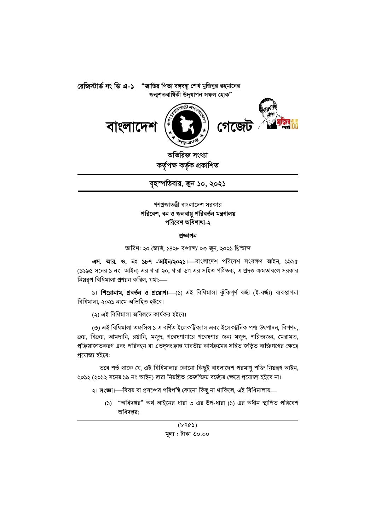





অতিরিক্ত সংখ্যা কৰ্তৃপক্ষ কৰ্তৃক প্ৰকাশিত

বৃহস্পতিবার, জুন ১০, ২০২১

## গণপ্রজাতন্ত্রী বাংলাদেশ সরকার পরিবেশ, বন ও জলবায়ু পরিবর্তন মন্ত্রণালয় পরিবেশ অধিশাখা-২

#### প্ৰজ্ঞাপন

তারিখ: ২০ জ্যৈষ্ঠ, ১৪২৮ বঙ্গাব্দ/ ০৩ জুন, ২০২১ খ্রিস্টাব্দ

এস. আর. ও. নং ১৮৭ -আইন/২০২১। বাংলাদেশ পরিবেশ সংরক্ষণ আইন, ১৯৯৫ (১৯৯৫ সনের ১ নং আইন) এর ধারা ২০, ধারা ৬গ এর সহিত পঠিতব্য, এ প্রদত্ত ক্ষমতাবলে সরকার নিয়রপ বিধিমালা প্রণয়ন করিল, যথা:-

১। শিরোনাম, প্রবর্তন ও প্রয়োগ। (১) এই বিধিমালা ঝুঁকিপূর্ণ বর্জ্য (ই-বর্জ্য) ব্যবস্থাপনা বিধিমালা, ২০২১ নামে অভিহিত হইবে।

(২) এই বিধিমালা অবিলম্বে কাৰ্যকর হইবে।

(৩) এই বিধিমালা তফসিল ১ এ বৰ্ণিত ইলেকট্ৰিক্যাল এবং ইলেকট্ৰনিক পণ্য উৎপাদন, বিপণন, ক্রয়, বিক্রয়, আমদানি, রপ্তানি, মজুদ, গবেষণাগারে গবেষণার জন্য মজুদ, পরিত্যজন, মেরামত, প্রক্রিয়াজাতকরণ এবং পরিবহন বা এতদৃসংক্রান্ত যাবতীয় কার্যক্রমের সহিত জড়িত ব্যক্তিগণের ক্ষেত্রে প্ৰযোজ্য হইবে:

তবে শর্ত থাকে যে, এই বিধিমালার কোনো কিছুই বাংলাদেশ পরমাণু শক্তি নিয়ন্ত্রণ আইন, ২০১২ (২০১২ সনের ১৯ নং আইন) দ্বারা নিয়ন্ত্রিত তেজস্ক্রিয় বর্জ্যের ক্ষেত্রে প্রযোজ্য হইবে না।

২। **সংজ্ঞা।**—বিষয় বা প্রসঙ্গের পরিপন্থি কোনো কিছু না থাকিলে, এই বিধিমালায়—

(১) "অধিদপ্তর" অর্থ আইনের ধারা ৩ এর উপ-ধারা (১) এর অধীন স্থাপিত পরিবেশ অধিদপ্তর:

> $(b90)$ মূল্য : টাকা ৩০.০০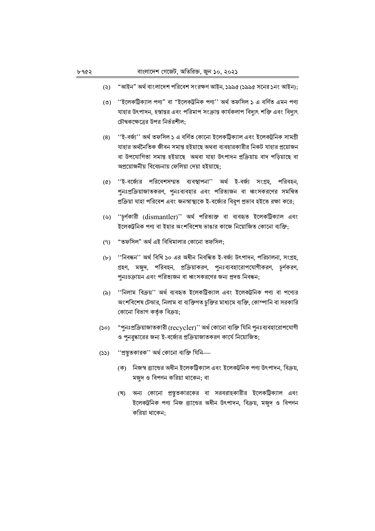- "আইন" অর্থ বাংলাদেশ পরিবেশ সংরক্ষণ আইন, ১৯৯৫ (১৯৯৫ সনের ১নং আইন);  $(5)$
- (৩) ''ইলেকট্রিক্যাল পণ্য" বা "ইলেকট্রনিক পণ্য'' অর্থ তফসিল ১ এ বর্ণিত এমন পণ্য যাহার উৎপাদন, হস্তান্তর এবং পরিমাপ সংক্রান্ত কার্যকলাপ বিদ্যুৎ শক্তি এবং বিদ্যুৎ চৌম্বকক্ষেত্রের উপর নির্ভরশীল:
- ''ই-বৰ্জ্য'' অৰ্থ তফসিল ১ এ বৰ্ণিত কোনো ইলেকট্ৰিক্যাল এবং ইলেকট্ৰনিক সামগ্ৰী  $(8)$ যাহার অর্থনৈতিক জীবন সমাপ্ত হইয়াছে অথবা ব্যবহারকারীর নিকট যাহার প্রয়োজন বা উপযোগিতা সমাপ্ত হইয়াছে অথবা যাহা উৎপাদন প্ৰক্ৰিয়ায় বাদ পড়িয়াছে বা অপ্রয়োজনীয় বিবেচনায় ফেলিয়া দেয়া হইয়াছে;
- $(\mathcal{C})$ ''ই-বর্জ্যের পরিবেশসম্মত ব্যবস্থাপনা'' অর্থ ই-বর্জ্য সংগ্রহ, পরিবহন, পুনঃপ্রক্রিয়াজাতকরণ, পুনঃব্যবহার এবং পরিত্যজন বা ধ্বংসকরণের সমন্বিত প্রক্রিয়া যাহা পরিবেশ এবং জনস্বাস্থ্যকে ই-বর্জ্যের বিরূপ প্রভাব হইতে রক্ষা করে;
- (৬) "চূর্ণকারী (dismantler)" অর্থ পরিত্যক্ত বা ব্যবহৃত ইলেকট্রিক্যাল এবং ইলেকট্রনিক পণ্য বা ইহার অংশবিশেষ ভাঙার কাজে নিয়োজিত কোনো ব্যক্তি:
- "তফসিল" অর্থ এই বিধিমালার কোনো তফসিল;  $(9)$
- (৮) "নিবন্ধন'' অৰ্থ বিধি ১০ এর অধীন নিবন্ধিত ই-বর্জ্য উৎপাদন, পরিচালনা, সংগ্রহ, গ্রহণ, মজুদ, পরিবহন, প্রক্রিয়াকরণ, পুনঃব্যবহারোপযোগীকরণ, চূর্ণকরণ, পুনঃচক্রায়ন এবং পরিত্যজন বা ধ্বংসকরণের জন্য প্রদত্ত নিবন্ধন;
- "নিলাম বিক্রয়" অর্থ ব্যবহৃত ইলেকট্রিক্যাল এবং ইলেকট্রনিক পণ্য বা পণ্যের  $(\delta)$ অংশবিশেষ টেন্ডার, নিলাম বা ব্যক্তিগত চুক্তির মাধ্যমে ব্যক্তি, কোম্পানি বা সরকারি কোনো বিভাগ কর্তৃক বিক্রয়;
- "পুনঃপ্ৰক্ৰিয়াজাতকারী (recycler)'' অৰ্থ কোনো ব্যক্তি যিনি পুনঃব্যবহারোপযোগী  $(\infty)$ ও পুনরুদ্ধারের জন্য ই-বর্জ্যের প্রক্রিয়াজাতকরণ কার্যে নিয়োজিত;
- ''প্ৰস্তুতকারক'' অৰ্থ কোনো ব্যক্তি যিনি—  $(55)$ 
	- (ক) নিজস্ব ব্র্যান্ডের অধীন ইলেকট্রিক্যাল এবং ইলেকট্রনিক পণ্য উৎপাদন, বিক্রয়, মজুদ ও বিপণন করিয়া থাকেন; বা
	- (খ) অন্য কোনো প্রস্তুতকারকের বা সরবরাহকারীর ইলেকট্রিক্যাল এবং ইলেকট্রনিক পণ্য নিজ ব্র্যান্ডের অধীন উৎপাদন, বিক্রয়, মজুদ ও বিপণন করিয়া থাকেন: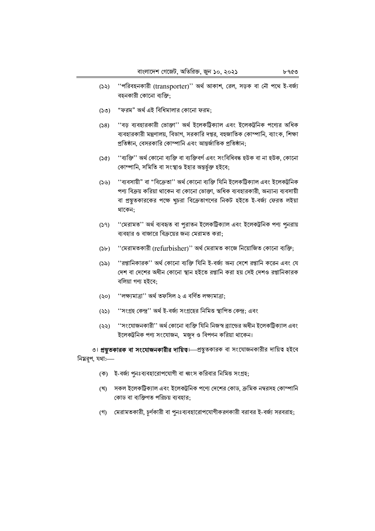- ''পরিবহনকারী (transporter)'' অর্থ আকাশ, রেল, সড়ক বা নৌ পথে ই-বর্জ্য  $(55)$ বহনকারী কোনো ব্যক্তি:
- "ফরম" অর্থ এই বিধিমালার কোনো ফরম;  $(SO)$
- ''বড় ব্যবহারকারী ভোক্তা'' অর্থ ইলেকট্রিক্যাল এবং ইলেকট্রনিক পণ্যের অধিক  $(58)$ ব্যবহারকারী মন্ত্রণালয়, বিভাগ, সরকারি দপ্তর, বহুজাতিক কোম্পানি, ব্যাংক, শিক্ষা প্রতিষ্ঠান, বেসরকারি কোম্পানি এবং আন্তর্জাতিক প্রতিষ্ঠান;
- ''ব্যক্তি'' অৰ্থ কোনো ব্যক্তি বা ব্যক্তিবৰ্গ এবং সংবিধিবদ্ধ হউক বা না হউক, কোনো  $(S<sub>c</sub>)$ কোম্পানি, সমিতি বা সংস্থাও ইহার অন্তর্ভুক্ত হইবে;
- $(55)$ ''ব্যবসায়ী" বা "বিক্ৰেতা'' অৰ্থ কোনো ব্যক্তি যিনি ইলেকট্ৰিক্যাল এবং ইলেকট্ৰনিক পণ্য বিক্রয় করিয়া থাকেন বা কোনো ভোক্তা, অধিক ব্যবহারকারী, অন্যান্য ব্যবসায়ী বা প্রস্তুতকারকের পক্ষে খুচরা বিক্রেতাগণের নিকট হইতে ই-বর্জ্য ফেরত লইয়া থাকেন;
- ''মেরামত'' অর্থ ব্যবহৃত বা পুরাতন ইলেকট্রিক্যাল এবং ইলেকট্রনিক পণ্য পুনরায়  $(59)$ ব্যবহার ও বাজারে বিক্রয়ের জন্য মেরামত করা:
- ''মেরামতকারী (refurbisher)'' অর্থ মেরামত কাজে নিয়োজিত কোনো ব্যক্তি;  $(Sb)$
- ''রপ্তানিকারক'' অর্থ কোনো ব্যক্তি যিনি ই-বর্জ্য অন্য দেশে রপ্তানি করেন এবং যে  $(5a)$ দেশ বা দেশের অধীন কোনো স্থান হইতে রপ্তানি করা হয় সেই দেশও রপ্তানিকারক বলিয়া গণ্য হইবে:
- ''লক্ষ্যমাত্ৰা'' অৰ্থ তফসিল ২ এ বৰ্ণিত লক্ষ্যমাত্ৰা:  $($ <br/> $\Diamond$
- ''সংগ্ৰহ কেন্দ্ৰ'' অৰ্থ ই-বৰ্জ্য সংগ্ৰহের নিমিত্ত স্থাপিত কেন্দ্ৰ; এবং  $(55)$
- ''সংযোজনকারী'' অর্থ কোনো ব্যক্তি যিনি নিজস্ব ব্র্যান্ডের অধীন ইলেকট্রিক্যাল এবং  $(55)$ ইলেকট্রনিক পণ্য সংযোজন, মজুদ ও বিপণন করিয়া থাকেন।

৩। **প্রন্তুতকারক বা সংযোজনকারীর দায়িত**। প্রন্তুতকারক বা সংযোজনকারীর দায়িত্ব হইবে নিয়রপ, যথা:-

- (ক) ই-বর্জ্য পুনঃব্যবহারোপযোগী বা ধ্বংস করিবার নিমিত্ত সংগ্রহ;
- (খ) সকল ইলেকট্রিক্যাল এবং ইলেকট্রনিক পণ্যে দেশের কোড, ক্রমিক নম্বরসহ কোম্পানি কোড বা ব্যক্তিগত পরিচয় ব্যবহার:
- (গ) মেরামতকারী, চর্ণকারী বা পুনঃব্যবহারোপযোগীকরণকারী বরাবর ই-বর্জ্য সরবরাহ;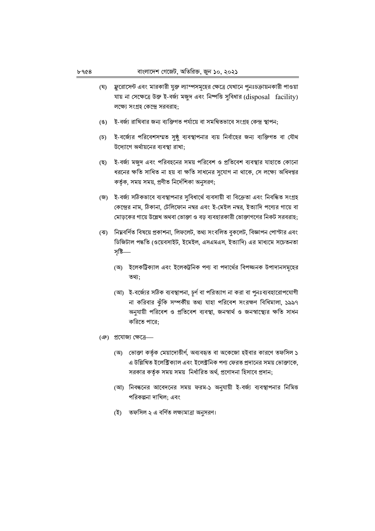- (ঘ) ফ্লুরোসেন্ট এবং মারকারী যুক্ত ল্যাম্পসমূহের ক্ষেত্রে যেখানে পুনঃচক্রায়নকারী পাওয়া যায় না সেক্ষেত্রে উক্ত ই-বর্জ্য মজুদ এবং নিষ্পত্তি সুবিধার (disposal facility) লক্ষ্যে সংগ্ৰহ কেন্দ্ৰে সরবরাহ;
- ই-বর্জ্য রাখিবার জন্য ব্যক্তিগত পর্যায়ে বা সমন্বিতভাবে সংগ্রহ কেন্দ্র স্থাপন:  $(8)$
- (চ) ই-বর্জ্যের পরিবেশসম্মত সুষ্ঠ ব্যবস্থাপনার ব্যয় নির্বাহের জন্য ব্যক্তিগত বা যৌথ উদ্যোগে অর্থায়নের ব্যবস্থা রাখা:
- ই-বর্জ্য মজুদ এবং পরিবহনের সময় পরিবেশ ও প্রতিবেশ ব্যবস্থার যাহাতে কোনো (ছ) ধরনের ক্ষতি সাধিত না হয় বা ক্ষতি সাধনের সুযোগ না থাকে, সে লক্ষ্যে অধিদপ্তর কর্তৃক, সময় সময়, প্রণীত নির্দেশিকা অনুসরণ;
- (জ) ই-বর্জ্য সঠিকভাবে ব্যবস্থাপনার সুবিধার্থে ব্যবসায়ী বা বিক্রেতা এবং নিবন্ধিত সংগ্রহ কেন্দ্রের নাম, ঠিকানা, টেলিফোন নম্বর এবং ই-মেইল নম্বর, ইত্যাদি পণ্যের গায়ে বা মোড়কের গায়ে উল্লেখ অথবা ভোক্তা ও বড় ব্যবহারকারী ভোক্তাগণের নিকট সরবরাহ;
- (ঝ) নিম্নবর্ণিত বিষয়ে প্রকাশনা, লিফলেট, তথ্য সংবলিত বুকলেট, বিজ্ঞাপন পোস্টার এবং ডিজিটাল পদ্ধতি (ওয়েবসাইট, ইমেইল, এসএমএস, ইত্যাদি) এর মাধ্যমে সচেতনতা সৃষ্টি—
	- (অ) ইলেকট্রিক্যাল এবং ইলেকট্রনিক পণ্য বা পদার্থের বিপজ্জনক উপাদানসমৃহের তথ্য:
	- (আ) ই-বর্জ্যের সঠিক ব্যবস্থাপনা, চূর্ণ বা পরিত্যাগ না করা বা পুনঃব্যবহারোপযোগী না করিবার ঝুঁকি সম্পর্কীয় তথ্য যাহা পরিবেশ সংরক্ষণ বিধিমালা, ১৯৯৭ অনুযায়ী পরিবেশ ও প্রতিবেশ ব্যবস্থা, জনস্বার্থ ও জনস্বাস্থ্যের ক্ষতি সাধন করিতে পারে:
- (ঞ) প্রযোজ্য ক্ষেত্রে-
	- (অ) ভোক্তা কর্তৃক মেয়াদোত্তীর্ণ, অব্যবহৃত বা অকেজো হইবার কারণে তফসিল ১ এ উল্লিখিত ইলেক্ট্রিক্যাল এবং ইলেক্ট্রনিক পণ্য ফেরত প্রদানের সময় ভোক্তাকে, সরকার কর্তৃক সময় সময় নির্ধারিত অর্থ, প্রণোদনা হিসাবে প্রদান;
	- (আ) নিবন্ধনের আবেদনের সময় ফরম-১ অনুযায়ী ই-বর্জ্য ব্যবস্থাপনার নিমিত্ত পরিকল্পনা দাখিল: এবং
	- (ই) তফসিল ২ এ বর্ণিত লক্ষ্যমাত্রা অনুসরণ।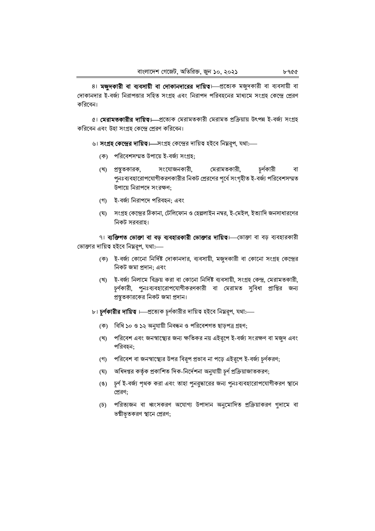8। মজুদকারী বা ব্যবসায়ী বা দোকানদারের দায়িত। প্রত্যেক মজুদকারী বা ব্যবসায়ী বা দোকানদার ই-বর্জ্য নিরাপত্তার সহিত সংগ্রহ এবং নিরাপদ পরিবহনের মাধ্যমে সংগ্রহ কেন্দ্রে প্রেরণ করিবেন।

৫। মেরামতকারীর দায়িত। প্রত্যেক মেরামতকারী মেরামত প্রক্রিয়ায় উৎপন্ন ই-বর্জ্য সংগ্রহ করিবেন এবং উহা সংগ্রহ কেন্দ্রে প্রেরণ করিবেন।

- ৬। **সংগ্রহ কেন্দ্রের দায়িত।**—সংগ্রহ কেন্দ্রের দায়িত্ব হইবে নিম্নরূপ, যথা:—
	- (ক) পরিবেশসম্মত উপায়ে ই-বর্জ্য সংগ্রহ;
	- সংযোজনকারী, মেরামতকারী, চর্ণকারী (খ) প্রস্তকারক, বা পুনঃব্যবহারোপযোগীকরণকারীর নিকট প্রেরণের পূর্বে সংগৃহীত ই-বর্জ্য পরিবেশসম্মত উপায়ে নিরাপদে সংরক্ষণ;
	- (গ) ই-বর্জ্য নিরাপদে পরিবহন; এবং
	- (ঘ) সংগ্রহ কেন্দ্রের ঠিকানা, টেলিফোন ও হেল্পলাইন নম্বর, ই-মেইল, ইত্যাদি জনসাধারণের নিকট সরবরাহ।

৭। ব্যক্তিগত ভোক্তা বা বড় ব্যবহারকারী ভোক্তার দায়িত। ভোক্তা বা বড় ব্যবহারকারী ভোক্তার দায়িত্ব হইবে নিম্নরূপ, যথা:—

- (ক) ই-বর্জ্য কোনো নির্দিষ্ট দোকানদার, ব্যবসায়ী, মজুদকারী বা কোনো সংগ্রহ কেন্দ্রের নিকট জমা প্রদান; এবং
- (খ) ই-বর্জ্য নিলামে বিক্রয় করা বা কোনো নির্দিষ্ট ব্যবসায়ী, সংগ্রহ কেন্দ্র, মেরামতকারী, চূর্ণকারী, পুনঃব্যবহারোপযোগীকরণকারী বা মেরামত সুবিধা প্রাপ্তির জন্য প্রস্তুতকারকের নিকট জমা প্রদান।
- ৮। **চূর্ণকারীর দায়িত**।—প্রত্যেক চূর্ণকারীর দায়িত্ব হইবে নিম্নরূপ, যথা:—
	- (ক) বিধি ১০ ও ১২ অনুযায়ী নিবন্ধন ও পরিবেশগত ছাড়পত্র গ্রহণ;
	- (খ) পরিবেশ এবং জনস্বাস্থ্যের জন্য ক্ষতিকর নয় এইরূপে ই-বর্জ্য সংরক্ষণ বা মজুদ এবং পরিবহন;
	- (গ) পরিবেশ বা জনস্বাস্থ্যের উপর বিরূপ প্রভাব না পড়ে এইরূপে ই-বর্জ্য চূর্ণকরণ;
	- (ঘ) অধিদপ্তর কর্তৃক প্রকাশিত দিক-নির্দেশনা অনুযায়ী চূর্ণ প্রক্রিয়াজাতকরণ;
	- (ঙ) চূর্ণ ই-বর্জ্য পৃথক করা এবং তাহা পুনরুদ্ধারের জন্য পুনঃব্যবহারোপযোগীকরণ স্থানে প্রেরণ;
	- (চ) পরিত্যজন বা ধ্বংসকরণ অযোগ্য উপাদান অনুমোদিত প্রক্রিয়াকরণ গুদামে বা ভষ্মীভূতকরণ স্থানে প্রেরণ;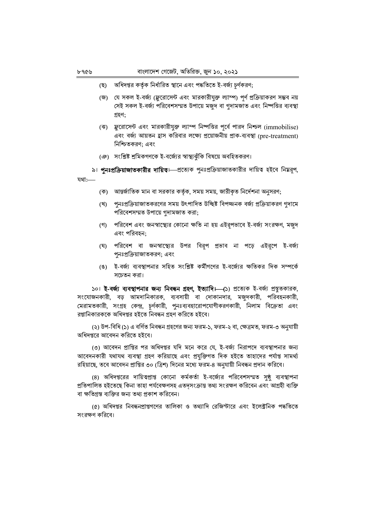অধিদপ্তর কর্তৃক নির্ধারিত স্থানে এবং পদ্ধতিতে ই-বর্জ্য চূর্ণকরণ; (ছ)

- (জ) যে সকল ই-বর্জ্য (ফ্লুরোসেন্ট এবং মারকারীযুক্ত ল্যাম্প) পূর্ণ প্রক্রিয়াকরণ সম্ভব নয় সেই সকল ই-বর্জ্য পরিবেশসম্মত উপায়ে মজুদ বা গুদামজাত এবং নিষ্পত্তির ব্যবস্থা গ্ৰহণ:
- (ঝ) ফ্লুরোসেন্ট এবং মারকারীযুক্ত ল্যাম্প নিষ্পত্তির পূর্বে পারদ নিশ্চল (immobilise) এবং বর্জ্য আয়তন হ্রাস করিবার লক্ষ্যে প্রয়োজনীয় প্রাক-ব্যবস্থা (pre-treatment) নিশ্চিতকরণ; এবং
- (ঞ) সংশ্লিষ্ট শ্রমিকগণকে ই-বর্জ্যের স্বাস্থ্যঝঁকি বিষয়ে অবহিতকরণ।
- ৯। পুনঃপ্রক্রিয়াজাতকারীর দায়িত। প্রত্যেক পুনঃপ্রক্রিয়াজাতকারীর দায়িত হইবে নিম্নরূপ,

যথা:-

- (ক) আন্তর্জাতিক মান বা সরকার কর্তৃক, সময় সময়, জারীকৃত নির্দেশনা অনুসরণ;
- (খ) পুনঃপ্রক্রিয়াজাতকরণের সময় উৎপাদিত উচ্ছিষ্ট বিপজ্জনক বর্জ্য প্রক্রিয়াকরণ গুদামে পরিবেশসম্মত উপায়ে গদামজাত করা;
- (গ) পরিবেশ এবং জনস্বাস্থ্যের কোনো ক্ষতি না হয় এইরপভাবে ই-বর্জ্য সংরক্ষণ, মজুদ এবং পরিবহন:
- (ঘ) পরিবেশ বা জনস্বাস্থ্যের উপর বিরূপ প্রভাব না পড়ে এইরূপে ই-বর্জ্য পনঃপ্রক্রিয়াজাতকরণ; এবং
- (ঙ) ই-বর্জ্য ব্যবস্থাপনার সহিত সংশ্লিষ্ট কর্মীগণের ই-বর্জ্যের ক্ষতিকর দিক সম্পর্কে সচেতন করা।

১০। ই-বর্জ্য ব্যবস্থাপনার জন্য নিবন্ধন গ্রহণ, ইত্যাদি। (১) প্রত্যেক ই-বর্জা প্রস্তুতকারক, সংযোজনকারী, বড় আমদানিকারক, ব্যবসায়ী বা দোকানদার, মজুদকারী, পরিবহনকারী, মেরামতকারী, সংগ্রহ কেন্দ্র, চূর্ণকারী, পুনঃব্যবহারোপযোগীকরণকারী, নিলাম বিক্রেতা এবং রপ্তানিকারককে অধিদপ্তর হইতে নিবন্ধন গ্রহণ করিতে হইবে।

(২) উপ-বিধি (১) এ বর্ণিত নিবন্ধন গ্রহণের জন্য ফরম-১, ফরম-২ বা, ক্ষেত্রমত, ফরম-৩ অনুযায়ী অধিদপ্তরে আবেদন করিতে হইবে।

(৩) আবেদন প্রাপ্তির পর অধিদপ্তর যদি মনে করে যে, ই-বর্জ্য নিরাপদে ব্যবস্থাপনার জন্য আবেদনকারী যথাযথ ব্যবস্থা গ্রহণ করিয়াছে এবং প্রযুক্তিগত দিক হইতে তাহাদের পর্যাপ্ত সামর্থ্য রহিয়াছে, তবে আবেদন প্রাপ্তির ৩০ (ত্রিশ) দিনের মধ্যে ফরম-৪ অনুযায়ী নিবন্ধন প্রদান করিবে।

(৪) অধিদপ্তরের দায়িত্বপ্রাপ্ত কোনো কর্মকর্তা ই-বর্জ্যের পরিবেশসম্মত সৃষ্ঠ ব্যবস্থাপনা প্রতিপালিত হইতেছে কিনা তাহা পর্যবেক্ষণসহ এতদসংক্রান্ত তথ্য সংরক্ষণ করিবেন এবং আগ্রহী ব্যক্তি বা ক্ষতিগ্রস্ত ব্যক্তির জন্য তথ্য প্রকাশ করিবেন।

(৫) অধিদপ্তর নিবন্ধনপ্রাপ্তগণের তালিকা ও তথ্যাদি রেজিস্টারে এবং ইলেক্টনিক পদ্ধতিতে সংরক্ষণ করিবে।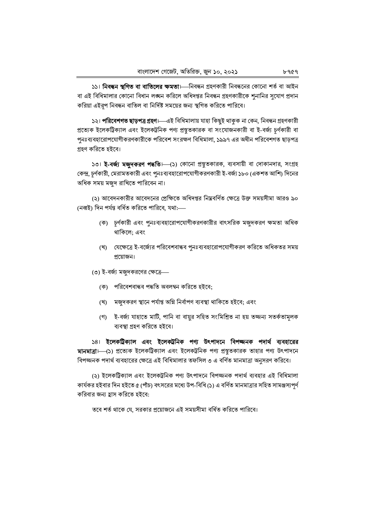১১। **নিবন্ধন স্থগিত বা বাতিলের ক্ষমতা**।—নিবন্ধন গ্রহণকারী নিবন্ধনের কোনো শর্ত বা আইন বা এই বিধিমালার কোনো বিধান লঙ্ঘন করিলে অধিদপ্তর নিবন্ধন গ্রহণকারীকে শুনানির সুযোগ প্রদান করিয়া এইরূপ নিবন্ধন বাতিল বা নির্দিষ্ট সময়ের জন্য স্থগিত করিতে পারিবে।

১২। **পরিবেশগত ছাড়পত্র গ্রহণ।**—এই বিধিমালায় যাহা কিছুই থাকুক না কেন, নিবন্ধন গ্রহণকারী প্রত্যেক ইলেকট্রিক্যাল এবং ইলেকট্রনিক পণ্য প্রস্তুতকারক বা সংযোজনকারী বা ই-বর্জ্য চূর্ণকারী বা পুনঃব্যবহারোপযোগীকরণকারীকে পরিবেশ সংরক্ষণ বিধিমালা, ১৯৯৭ এর অধীন পরিবেশগত ছাড়পত্র গ্ৰহণ করিতে হইবে।

১৩। **ই-বর্জ্য মজুদকরণ পদ্ধতি।** (১) কোনো প্রস্তুতকারক, ব্যবসায়ী বা দোকানদার, সংগ্রহ কেন্দ্র, চূর্ণকারী, মেরামতকারী এবং পুনঃব্যবহারোপযোগীকরণকারী ই-বর্জ্য ১৮০ (একশত আশি) দিনের অধিক সময় মজুদ রাখিতে পারিবেন না।

(২) আবেদনকারীর আবেদনের প্রেক্ষিতে অধিদপ্তর নিম্নবর্ণিত ক্ষেত্রে উক্ত সময়সীমা আরও ৯০ (নব্বই) দিন পৰ্যন্ত বৰ্ধিত করিতে পারিবে, যথা:—–

- (ক) চূর্ণকারী এবং পুনঃব্যবহারোপযোগীকরণকারীর বাৎসরিক মজুদকরণ ক্ষমতা অধিক থাকিলে; এবং
- (খ) যেক্ষেত্রে ই-বর্জ্যের পরিবেশবান্ধব পনঃব্যবহারোপযোগীকরণ করিতে অধিকতর সময় প্রয়োজন।
- (৩) ই-বর্জ্য মজুদকরণের ক্ষেত্রে—
	- (ক) পরিবেশবান্ধব পদ্ধতি অবলম্বন করিতে হইবে;
	- (খ) মজুদকরণ স্থানে পর্যাপ্ত অগ্নি নির্বাপণ ব্যবস্থা থাকিতে হইবে; এবং
	- (গ) ই-বর্জ্য যাহাতে মাটি, পানি বা বায়ুর সহিত সংমিশ্রিত না হয় তজ্জন্য সতর্কতামূলক ব্যবস্থা গ্রহণ করিতে হইবে।

১৪। ইলেকট্রিক্যাল এবং ইলেকট্রনিক পণ্য উৎপাদনে বিপজ্জনক পদার্থ ব্যবহারের মানমাত্রা—(১) প্রত্যেক ইলেকট্রিক্যাল এবং ইলেকট্রনিক পণ্য প্রস্তুতকারক তাহার পণ্য উৎপাদনে বিপজ্জনক পদার্থ ব্যবহারের ক্ষেত্রে এই বিধিমালার তফসিল ৩ এ বর্ণিত মানমাত্রা অনুসরণ করিবে।

(২) ইলেকট্রিক্যাল এবং ইলেকট্রনিক পণ্য উৎপাদনে বিপজ্জনক পদার্থ ব্যবহার এই বিধিমালা কার্যকর হইবার দিন হইতে ৫ (পাঁচ) বৎসরের মধ্যে উপ-বিধি (১) এ বর্ণিত মানমাত্রার সহিত সামঞ্জস্যপূর্ণ করিবার জন্য হ্রাস করিতে হইবে:

তবে শর্ত থাকে যে, সরকার প্রয়োজনে এই সময়সীমা বর্ধিত করিতে পারিবে।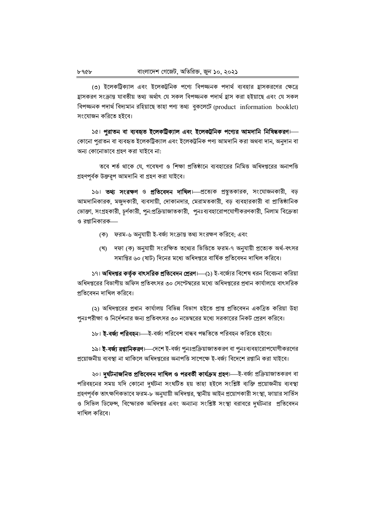(৩) ইলেকট্রিক্যাল এবং ইলেকট্রনিক পণ্যে বিপজ্জনক পদার্থ ব্যবহার হ্রাসকরণের ক্ষেত্রে হ্ৰাসকরণ সংক্রান্ত যাবতীয় তথ্য অর্থাৎ যে সকল বিপজ্জনক পদার্থ হ্রাস করা হইয়াছে এবং যে সকল বিপজ্জনক পদার্থ বিদ্যমান রহিয়াছে তাহা পণ্য তথ্য বুকলেটে (product information booklet) সংযোজন করিতে হইবে।

১৫। পুরাতন বা ব্যবহৃত ইলেকট্রিক্যাল এবং ইলেকট্রনিক পণ্যের আমদানি নিষিদ্ধকরণ।— কোনো পুরাতন বা ব্যবহৃত ইলেকট্রিক্যাল এবং ইলেকট্রনিক পণ্য আমদানি করা অথবা দান, অনুদান বা অন্য কোনোভাবে গ্রহণ করা যাইবে না:

তবে শর্ত থাকে যে, গবেষণা ও শিক্ষা প্রতিষ্ঠানে ব্যবহারের নিমিত্ত অধিদপ্তরের অনাপত্তি গ্রহণপূর্বক উক্তরূপ আমদানি বা গ্রহণ করা যাইবে।

১৬। তথ্য সংরক্ষণ ও প্রতিবেদন দাখিল। প্রত্যেক প্রস্তুতকারক, সংযোজনকারী, বড় আমদানিকারক, মজুদকারী, ব্যবসায়ী, দোকানদার, মেরামতকারী, বড় ব্যবহারকারী বা প্রাতিষ্ঠানিক ভোক্তা, সংগ্রহকারী, চূর্ণকারী, পুন:প্রক্রিয়াজাতকারী, পুনঃব্যবহারোপযোগীকরণকারী, নিলাম বিক্রেতা ও রপ্তানিকারক—

- (ক) ফরম-৬ অনুযায়ী ই-বর্জ্য সংক্রান্ত তথ্য সংরক্ষণ করিবে; এবং
- (খ) দফা (ক) অনুযায়ী সংরক্ষিত তথ্যের ভিত্তিতে ফরম-৭ অনুযায়ী প্রত্যেক অর্থ-বৎসর সমাপ্তির ৬০ (ষাট) দিনের মধ্যে অধিদপ্তরে বার্ষিক প্রতিবেদন দাখিল করিবে।

১৭। **অধিদপ্তর কর্তৃক বাৎসরিক প্রতিবেদন প্রেরণ।**—(১) ই-বর্জ্যের বিশেষ ধরন বিবেচনা করিয়া অধিদপ্তরের বিভাগীয় অফিস প্রতিবৎসর ৩০ সেপ্টেম্বরের মধ্যে অধিদপ্তরের প্রধান কার্যালয়ে বাৎসরিক প্রতিবেদন দাখিল করিবে।

(২) অধিদপ্তরের প্রধান কার্যালয় বিভিন্ন বিভাগ হইতে প্রাপ্ত প্রতিবেদন একত্রিত করিয়া উহা পুনঃপরীক্ষা ও নির্দেশনার জন্য প্রতিবৎসর ৩০ নভেম্বরের মধ্যে সরকারের নিকট প্রেরণ করিবে।

#### ১৮। **ই-বর্জ্য পরিবহন।** ই-বর্জ্য পরিবেশ বান্ধব পদ্ধতিতে পরিবহন করিতে হইবে।

১৯। **ই-বর্জ্য রপ্তানিকরণ।**—দেশে ই-বর্জ্য পুনঃপ্রক্রিয়াজাতকরণ বা পুনঃব্যবহারোপযোগীকরণের প্রয়োজনীয় ব্যবস্থা না থাকিলে অধিদপ্তরের অনাপত্তি সাপেক্ষে ই-বর্জ্য বিদেশে রপ্তানি করা যাইবে।

২০। দুৰ্ঘটনাজনিত প্ৰতিবেদন দাখিল ও পরবর্তী কার্যক্রম গ্রহণ।—ই-বর্জ্য প্রক্রিয়াজাতকরণ বা পরিবহনের সময় যদি কোনো দুর্ঘটনা সংঘটিত হয় তাহা হইলে সংশ্লিষ্ট ব্যক্তি প্রয়োজনীয় ব্যবস্থা গ্রহণপূর্বক তাৎক্ষণিকভাবে ফরম-৮ অনুযায়ী অধিদপ্তর, স্থানীয় আইন প্রয়োগকারী সংস্থা, ফায়ার সার্ভিস ও সিভিল ডিফেন্স, বিস্ফোরক অধিদপ্তর এবং অন্যান্য সংশ্লিষ্ট সংস্থা বরাবরে দুর্ঘটনার প্রতিবেদন দাখিল করিবে।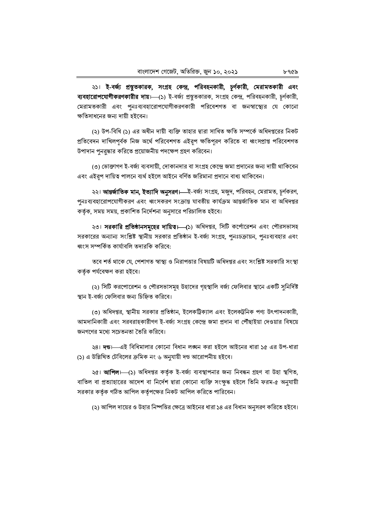২১। ই-বর্জ্য প্রস্তুতকারক, সংগ্রহ কেন্দ্র, পরিবহনকারী, চূর্ণকারী, মেরামতকারী এবং ব্যবহারোপযোগীকরণকারীর দায়।—(১) ই-বর্জ্য প্রস্তুতকারক, সংগ্রহ কেন্দ্র, পরিবহনকারী, চূর্ণকারী, মেরামতকারী এবং পুনঃব্যবহারোপযোগীকরণকারী পরিবেশগত বা জনস্বাস্থ্যের যে কোনো ক্ষতিসাধনের জন্য দায়ী হইবেন।

(২) উপ-বিধি (১) এর অধীন দায়ী ব্যক্তি তাহার দ্বারা সাধিত ক্ষতি সম্পর্কে অধিদপ্তরের নিকট প্রতিবেদন দাখিলপূর্বক নিজ অর্থে পরিবেশগত এইরূপ ক্ষতিপূরণ করিতে বা ধ্বংসপ্রাপ্ত পরিবেশগত উপাদান পুনরুদ্ধার করিতে প্রয়োজনীয় পদক্ষেপ গ্রহণ করিবেন।

(৩) ভোক্তাগণ ই-বর্জ্য ব্যবসায়ী, দোকানদার বা সংগ্রহ কেন্দ্রে জমা প্রদানের জন্য দায়ী থাকিবেন এবং এইরূপ দায়িত্ব পালনে ব্যর্থ হইলে আইনে বর্ণিত জরিমানা প্রদানে বাধ্য থাকিবেন।

২২। **আন্তর্জাতিক মান, ইত্যাদি অনুসরণ।—**ই-বর্জ্য সংগ্রহ, মজুদ, পরিবহন, মেরামত, চূর্ণকরণ, পুনঃব্যবহারোপযোগীকরণ এবং ধ্বংসকরণ সংক্রান্ত যাবতীয় কার্যক্রম আন্তর্জাতিক মান বা অধিদপ্তর কর্তৃক, সময় সময়, প্রকাশিত নির্দেশনা অনুসারে পরিচালিত হইবে।

২৩। সরকারি প্রতিষ্ঠানসমূহের দায়িত। (১) অধিদপ্তর, সিটি কর্পোরেশন এবং পৌরসভাসহ সরকারের অন্যান্য সংশ্লিষ্ট স্থানীয় সরকার প্রতিষ্ঠান ই-বর্জ্য সংগ্রহ, পুনঃচক্রায়ন, পুনঃব্যবহার এবং ধ্বংস সম্পর্কিত কার্যাবলি তদারকি করিবে:

তবে শর্ত থাকে যে, পেশাগত স্বাস্থ্য ও নিরাপত্তার বিষয়টি অধিদপ্তর এবং সংশ্লিষ্ট সরকারি সংস্থা কর্তৃক পর্যবেক্ষণ করা হইবে।

(২) সিটি করপোরেশন ও পৌরসভাসমূহ উহাদের গৃহস্থালি বর্জ্য ফেলিবার স্থানে একটি সুনির্দিষ্ট স্থান ই-বর্জ্য ফেলিবার জন্য চিহ্নিত করিবে।

(৩) অধিদপ্তর, স্থানীয় সরকার প্রতিষ্ঠান, ইলেকট্রিক্যাল এবং ইলেকট্রনিক পণ্য উৎপাদনকারী, আমদানিকারী এবং সরবরাহকারীগণ ই-বর্জা সংগ্রহ কেন্দ্রে জমা প্রদান বা পৌঁছাইয়া দেওয়ার বিষয়ে জনগণের মধ্যে সচেতনতা তৈরি করিবে।

২৪। দন্ড। এই বিধিমালার কোনো বিধান লঙ্ঘন করা হইলে আইনের ধারা ১৫ এর উপ-ধারা (১) এ উল্লিখিত টেবিলের ক্রমিক নং ৬ অনুযায়ী দণ্ড আরোপনীয় হইবে।

২৫। **আপিল।**—(১) অধিদপ্তর কর্তৃক ই-বর্জ্য ব্যবস্থাপনার জন্য নিবন্ধন গ্রহণ বা উহা স্থগিত, বাতিল বা প্রত্যাহারের আদেশ বা নির্দেশ দ্বারা কোনো ব্যক্তি সংক্ষুদ্ধ হইলে তিনি ফরম-৫ অনুযায়ী সরকার কর্তৃক গঠিত আপিল কর্তৃপক্ষের নিকট আপিল করিতে পারিবেন।

(২) আপিল দায়ের ও উহার নিষ্পত্তির ক্ষেত্রে আইনের ধারা ১৪ এর বিধান অনুসরণ করিতে হইবে।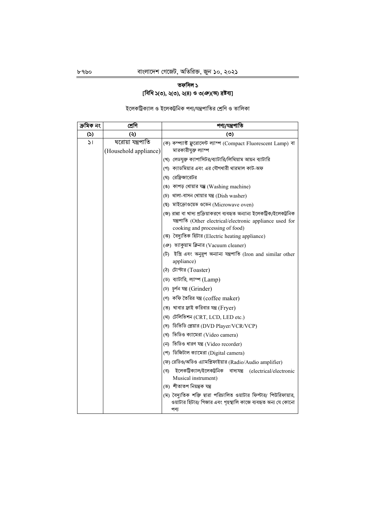# তফসিল ১ [বিধি ১(৩), ২(৩), ২(৪) ও ৩(ঞ)(অ) দ্রষ্টব্য]

ইলেকট্রিক্যাল ও ইলেকট্রনিক পণ্য/যন্ত্রপাতির শ্রেণি ও তালিকা

| ক্ৰমিক নং     | শ্ৰেণি                                     | পণ্য/যন্ত্ৰপাতি                                                                                                                                                                                                               |  |  |  |  |  |  |  |
|---------------|--------------------------------------------|-------------------------------------------------------------------------------------------------------------------------------------------------------------------------------------------------------------------------------|--|--|--|--|--|--|--|
| (5)           | $\ddot{\bm{\omega}}$                       | (৩)                                                                                                                                                                                                                           |  |  |  |  |  |  |  |
| $\mathcal{L}$ | ঘরোয়া যন্ত্রপাতি<br>(Household appliance) | (ক) কম্প্যাক্ট ফ্লুরোসেন্ট ল্যাম্প (Compact Fluorescent Lamp) বা<br>মারকারীযুক্ত ল্যাম্প                                                                                                                                      |  |  |  |  |  |  |  |
|               |                                            | (খ) লেডযুক্ত ক্যাপাসিটর/ব্যাটারি/লিথিয়াম আয়ন ব্যাটারি                                                                                                                                                                       |  |  |  |  |  |  |  |
|               |                                            | (গ) ক্যাডমিয়ার এবং এর যৌগধারী থারমাল কাট-অফ                                                                                                                                                                                  |  |  |  |  |  |  |  |
|               |                                            | (ঘ) রেফ্রিজারেটর                                                                                                                                                                                                              |  |  |  |  |  |  |  |
|               |                                            | (ঙ) কাপড় ধোয়ার যন্ত্র (Washing machine)                                                                                                                                                                                     |  |  |  |  |  |  |  |
|               |                                            | (চ) থালা-বাসন ধোয়ার যন্ত্র ( $Dish$ washer)                                                                                                                                                                                  |  |  |  |  |  |  |  |
|               |                                            | (ছ) মাইক্রোওয়েভ ওভেন (Microwave oven)                                                                                                                                                                                        |  |  |  |  |  |  |  |
|               |                                            | (জ) রান্না বা খাদ্য প্রক্রিয়াকরণে ব্যবহৃত অন্যান্য ইলেকট্রিক/ইলেকট্রনিক<br>যন্ত্ৰপাতি (Other electrical/electronic appliance used for<br>cooking and processing of food)<br>(ঝ) বৈদ্যুতিক হিটার (Electric heating appliance) |  |  |  |  |  |  |  |
|               |                                            | (ঞ) ভ্যাকুয়াম ক্লিনার (Vacuum cleaner)                                                                                                                                                                                       |  |  |  |  |  |  |  |
|               |                                            | (ট) ইস্ত্রি এবং অনুরূপ অন্যান্য যন্ত্রপাতি (Iron and similar other                                                                                                                                                            |  |  |  |  |  |  |  |
|               |                                            | appliance)                                                                                                                                                                                                                    |  |  |  |  |  |  |  |
|               |                                            | (ঠ) টোস্টার (Toaster)                                                                                                                                                                                                         |  |  |  |  |  |  |  |
|               |                                            | (ড) ব্যাটারি, ল্যাম্প (Lamp)                                                                                                                                                                                                  |  |  |  |  |  |  |  |
|               |                                            | (ঢ) চূৰ্ণন যন্ত্ৰ (Grinder)                                                                                                                                                                                                   |  |  |  |  |  |  |  |
|               |                                            | (ণ) কফি তৈরির যন্ত্র (coffee maker)                                                                                                                                                                                           |  |  |  |  |  |  |  |
|               |                                            | (ত) খাবার ফ্রাই করিবার যন্ত্র (Fryer)                                                                                                                                                                                         |  |  |  |  |  |  |  |
|               |                                            | (থ) টেলিভিশন (CRT, LCD, LED etc.)                                                                                                                                                                                             |  |  |  |  |  |  |  |
|               |                                            | (দ) ডিভিডি প্লেয়ার (DVD Player/VCR/VCP)                                                                                                                                                                                      |  |  |  |  |  |  |  |
|               |                                            | (ধ) ভিডিও ক্যামেরা (Video camera)                                                                                                                                                                                             |  |  |  |  |  |  |  |
|               |                                            | (ন) ভিডিও ধারণ যন্ত্র (Video recorder)                                                                                                                                                                                        |  |  |  |  |  |  |  |
|               |                                            | (প) ডিজিটাল ক্যামেরা (Digital camera)                                                                                                                                                                                         |  |  |  |  |  |  |  |
|               |                                            | (ফ) রেডিও/অডিও এ্যামপ্লিফাইয়ার (Radio/Audio amplifier)                                                                                                                                                                       |  |  |  |  |  |  |  |
|               |                                            | ইলেকট্ৰিক্যাল/ইলেকট্ৰনিক<br>বাদ্যযন্ত্র (electrical/electronic<br>(ব)<br>Musical instrument)                                                                                                                                  |  |  |  |  |  |  |  |
|               |                                            | (ভ) শীতাতপ নিয়ন্ত্ৰক যন্ত্ৰ                                                                                                                                                                                                  |  |  |  |  |  |  |  |
|               |                                            | (ম) বৈদ্যুতিক শক্তি দ্বারা পরিচালিত ওয়াটার ফিল্টার/ পিউরিফায়ার,<br>ওয়াটার হিটার/ গিজার এবং গৃহস্থালি কাজে ব্যবহৃত অন্য যে কোনো<br>পণ্য                                                                                     |  |  |  |  |  |  |  |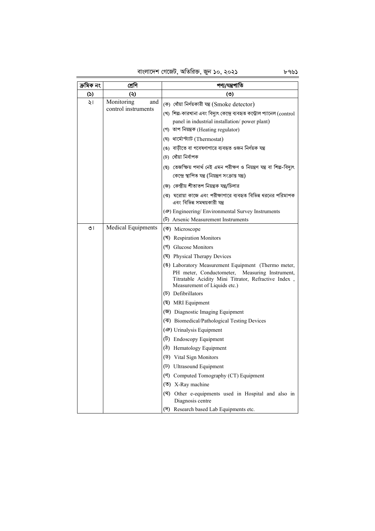বাংলাদেশ গেজেট, অতিরিক্ত, জুন ১০, ২০২১ ৮৭৬১

| ক্ৰমিক নং     | শ্ৰেণি                    | পণ্য/যন্ত্ৰপাতি                                                                                                                       |
|---------------|---------------------------|---------------------------------------------------------------------------------------------------------------------------------------|
| $\mathcal{L}$ | (২)                       | (৩)                                                                                                                                   |
| ২।            | Monitoring<br>and         | (ক) ধোঁয়া নিৰ্ণয়কারী যন্ত্র (Smoke detector)                                                                                        |
|               | control instruments       | (খ) শিল্প-কারখানা এবং বিদ্যুৎ কেন্দ্রে ব্যবহৃত কন্ট্রোল প্যানেল (control                                                              |
|               |                           | panel in industrial installation/power plant)                                                                                         |
|               |                           | (গ) তাপ নিয়ন্ত্রক (Heating regulator)                                                                                                |
|               |                           | (ঘ) থার্মোস্ট্যাট (Thermostat)                                                                                                        |
|               |                           | (ঙ) বাড়ীতে বা গবেষণাগারে ব্যবহৃত ওজন নির্ণয়ক যন্ত্র                                                                                 |
|               |                           | (চ) ধোঁয়া নিৰ্বাপক                                                                                                                   |
|               |                           | (ছ) তেজস্ক্রিয় পদার্থ নেই এমন পরীক্ষণ ও নিয়ন্ত্রণ যন্ত্র বা শিল্প-বিদ্যুৎ                                                           |
|               |                           | কেন্দ্রে স্থাপিত যন্ত্র (নিয়ন্ত্রণ সংক্রান্ত যন্ত্র)                                                                                 |
|               |                           | (জ) কেন্দ্রীয় শীতাতপ নিয়ন্ত্রক যন্ত্র/চিলার                                                                                         |
|               |                           | (ঝ)  ঘরোয়া কাজে এবং পরীক্ষাগারে ব্যবহৃত বিভিন্ন ধরনের পরিমাপক<br>এবং বিভিন্ন সমন্বয়কারী যন্ত্র                                      |
|               |                           | (48) Engineering/ Environmental Survey Instruments                                                                                    |
|               |                           | (b) Arsenic Measurement Instruments                                                                                                   |
| ৩।            | <b>Medical Equipments</b> | (平) Microscope                                                                                                                        |
|               |                           | (킥) Respiration Monitors                                                                                                              |
|               |                           | (গ) Glucose Monitors                                                                                                                  |
|               |                           | (ঘ) Physical Therapy Devices                                                                                                          |
|               |                           | (8) Laboratory Measurement Equipment (Thermo meter,                                                                                   |
|               |                           | PH meter, Conductometer, Measuring Instrument,<br>Titratable Acidity Mini Titrator, Refractive Index,<br>Measurement of Liquids etc.) |
|               |                           | (b) Defibrillators                                                                                                                    |
|               |                           | (5) MRI Equipment                                                                                                                     |
|               |                           | (জ) Diagnostic Imaging Equipment                                                                                                      |
|               |                           | (4) Biomedical/Pathological Testing Devices                                                                                           |
|               |                           | (48) Urinalysis Equipment                                                                                                             |
|               |                           | $(\overline{b})$ Endoscopy Equipment                                                                                                  |
|               |                           | ( $\delta$ ) Hematology Equipment                                                                                                     |
|               |                           | (5) Vital Sign Monitors                                                                                                               |
|               |                           | (5) Ultrasound Equipment                                                                                                              |
|               |                           | (°) Computed Tomography (CT) Equipment                                                                                                |
|               |                           | X-Ray machine<br>(ত)                                                                                                                  |
|               |                           | (2) Other e-equipments used in Hospital and also in<br>Diagnosis centre                                                               |
|               |                           | Research based Lab Equipments etc.<br>(দ)                                                                                             |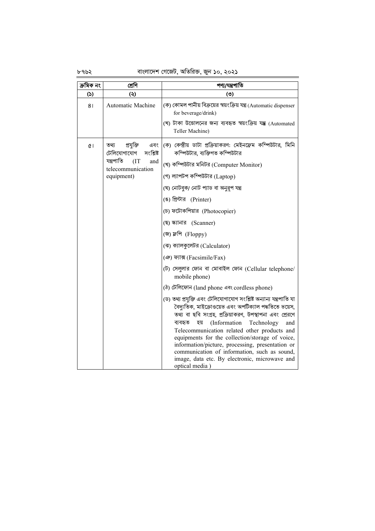৮৭৬২

## বাংলাদেশ গেজেট, অতিরিক্ত, জুন ১০, ২০২১

| ক্ৰমিক নং | শ্ৰেণি                                                                                                               | পণ্য/যন্ত্ৰপাতি                                                                                                                                                                                                                                                                                                                                                                                                                                                                                                                                                                                                                                                                                                                                                                                                                                                                                                                                                                                                                                    |  |  |  |  |  |  |
|-----------|----------------------------------------------------------------------------------------------------------------------|----------------------------------------------------------------------------------------------------------------------------------------------------------------------------------------------------------------------------------------------------------------------------------------------------------------------------------------------------------------------------------------------------------------------------------------------------------------------------------------------------------------------------------------------------------------------------------------------------------------------------------------------------------------------------------------------------------------------------------------------------------------------------------------------------------------------------------------------------------------------------------------------------------------------------------------------------------------------------------------------------------------------------------------------------|--|--|--|--|--|--|
| (5)       | (5)                                                                                                                  | (5)                                                                                                                                                                                                                                                                                                                                                                                                                                                                                                                                                                                                                                                                                                                                                                                                                                                                                                                                                                                                                                                |  |  |  |  |  |  |
| 81        | <b>Automatic Machine</b>                                                                                             | (ক) কোমল পানীয় বিক্ৰয়ের স্বয়ংক্রিয় যন্ত্র (Automatic dispenser<br>for beverage/drink)<br>(খ) টাকা উত্তোলনের জন্য ব্যবহৃত স্বয়ংক্রিয় যন্ত্র (Automated<br>Teller Machine)                                                                                                                                                                                                                                                                                                                                                                                                                                                                                                                                                                                                                                                                                                                                                                                                                                                                     |  |  |  |  |  |  |
| (1)       | তথ্য<br>প্ৰযুক্তি<br>এবং<br>টেলিযোগাযোগ<br>সংশ্লিষ্ট<br>যন্ত্ৰপাতি<br>(TT)<br>and<br>telecommunication<br>equipment) | (ক) কেন্দ্রীয় ডাটা প্রক্রিয়াকরণ: মেইনফ্রেম কম্পিউটার, মিনি<br>কম্পিউটার, ব্যক্তিগত কম্পিউটার<br>(খ) কম্পিউটার মনিটর (Computer Monitor)<br>(গ) ল্যাপটপ কম্পিউটার (Laptop)<br>(ঘ) নোটবুক/ নোট প্যাড বা অনুরূপ যন্ত্র<br>(ঙ) প্রিন্টার (Printer)<br>(চ) ফটোকপিয়ার (Photocopier)<br>(ছ) স্ক্যানার (Scanner)<br>(জ) ফ্লপি (Floppy)<br>(ঝ) ক্যালকুলেটর (Calculator)<br>(ঞ) ফ্যাক্স (Facsimile/Fax)<br>(ট) সেলুলার ফোন বা মোবাইল ফোন (Cellular telephone/<br>mobile phone)<br>(ঠ) টেলিফোন (land phone এবং cordless phone)<br>(ড) তথ্য প্রযুক্তি এবং টেলিযোগাযোগ সংশ্লিষ্ট অন্যান্য যন্ত্রপাতি যা<br>বৈদ্যুতিক, মাইক্রোওয়েভ এবং অপটিক্যাল পদ্ধতিতে ভয়েস,<br>তথ্য বা ছবি সংগ্রহ, প্রক্রিয়াকরণ, উপস্থাপনা এবং প্রেরণে<br>ব্যবহৃত<br>(Information<br>Technology<br>হয়<br>and<br>Telecommunication related other products and<br>equipments for the collection/storage of voice,<br>information/picture, processing, presentation or<br>communication of information, such as sound,<br>image, data etc. By electronic, microwave and<br>optical media) |  |  |  |  |  |  |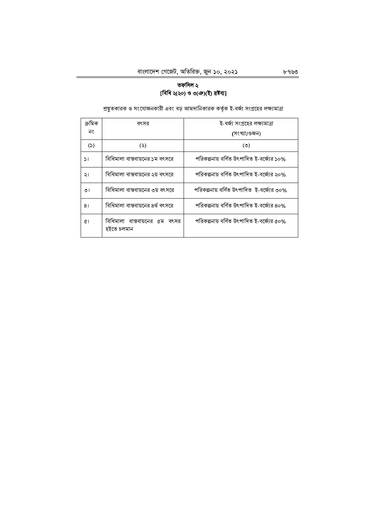# তফসিল ২ [বিধি ২(২০) ও ৩(ঞ)(ই) দ্রষ্টব্য]

| ক্ৰমিক       | বৎসর                                        | ই-বর্জ্য সংগ্রহের লক্ষ্যমাত্রা             |
|--------------|---------------------------------------------|--------------------------------------------|
| নং           |                                             | (সংখ্যা/ওজন)                               |
| (5)          | (5)                                         | $\circ$                                    |
| $\mathsf{L}$ | বিধিমালা বাস্তবায়নের ১ম বৎসরে              | পরিকল্পনায় বর্ণিত উৎপাদিত ই-বর্জ্যের ১০%  |
| ২৷           | বিধিমালা বাস্তবায়নের ২য় বৎসরে             | পরিকল্পনায় বর্ণিত উৎপাদিত ই-বর্জ্যের ২০%  |
| ৩।           | বিধিমালা বাস্তবায়নের ৩য় বৎসরে             | পরিকল্পনায় বর্ণিত উৎপাদিত  ই-বর্জ্যের ৩০% |
| 81           | বিধিমালা বাস্তবায়নের ৪র্থ বৎসরে            | পরিকল্পনায় বর্ণিত উৎপাদিত ই-বর্জ্যের ৪০%  |
| œ١           | বিধিমালা বাস্তবায়নের ৫ম বৎসর<br>হইতে চলমান | পরিকল্পনায় বর্ণিত উৎপাদিত ই-বর্জ্যের ৫০%  |

প্রস্তুতকারক ও সংযোজনকারী এবং বড় আমদানিকারক কর্তৃক ই-বর্জ্য সংগ্রহের লক্ষ্যমাত্রা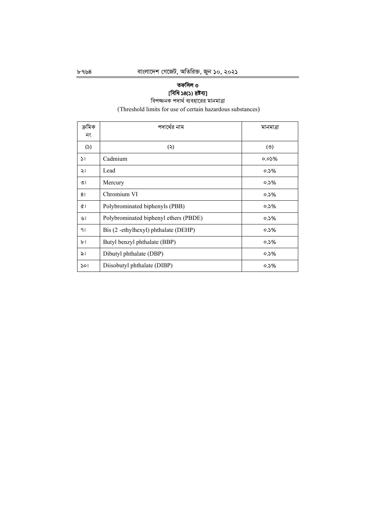# তফসিল ৩

# [বিধি ১৪(১) দ্রষ্টব্য]<br>বিপজ্জনক পদার্থ ব্যবহারের মানমাত্রা

(Threshold limits for use of certain hazardous substances)

| ক্ৰমিক<br>নং   | পদার্থের নাম                          | মানমাত্রা |
|----------------|---------------------------------------|-----------|
| (5)            | (5)                                   | (5)       |
| $\mathsf{S}$ 1 | Cadmium                               | $0.05\%$  |
| ২।             | Lead                                  | $0.5\%$   |
| ৩।             | Mercury                               | $0.5\%$   |
| 81             | Chromium VI                           | $0.5\%$   |
| ¢۱             | Polybrominated biphenyls (PBB)        | $0.5\%$   |
| ৬।             | Polybrominated biphenyl ethers (PBDE) | $0.5\%$   |
| 91             | Bis (2 -ethylhexyl) phthalate (DEHP)  | $0.5\%$   |
| ৮।             | Butyl benzyl phthalate (BBP)          | $0.5\%$   |
| ৯।             | Dibutyl phthalate (DBP)               | $0.5\%$   |
| ১০।            | Diisobutyl phthalate (DIBP)           | $0.5\%$   |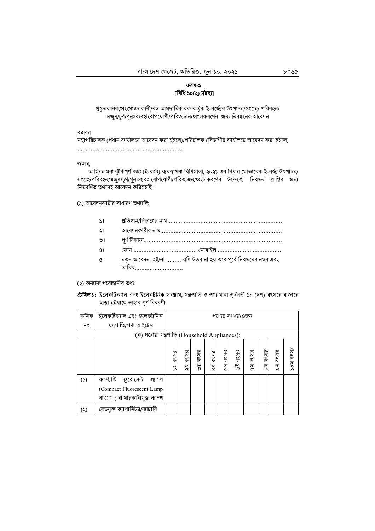## ফরম-১ [বিধি ১০(২) দ্ৰষ্টব্য]

প্রস্তুতকারক/সংযোজনকারী/বড় আমদানিকারক কর্তৃক ই-বর্জ্যের উৎপাদন/সংগ্রহ/ পরিবহন/ মজুদ/চূর্ণ/পুনঃব্যবহারোপযোগী/পরিত্যজন/ধ্বংসকরণের জন্য নিবন্ধনের আবেদন

বরাবর

মহাপরিচালক (প্রধান কার্যালয়ে আবেদন করা হইলে)/পরিচালক (বিভাগীয় কার্যালয়ে আবেদন করা হইলে) 

জনাব,

আমি/আমরা ঝুঁকিপূর্ণ বর্জ্য (ই-বর্জ্য) ব্যবস্থাপনা বিধিমালা, ২০২১ এর বিধান মোতাবেক ই-বর্জ্য উৎপাদন/ সংগ্রহ/পরিবহন/মজুদ/চূর্ণ/পুনঃব্যবহারোপযোগী/পরিত্যজন/ধ্বংসকরণের উদ্দেশ্যে নিবন্ধন প্রাপ্তির জন্য নিয়বর্ণিত তথ্যসহ আবেদন করিতেছি।

(১) আবেদনকারীর সাধারণ তথ্যাদি:

- $\mathcal{L}$
- $\frac{1}{2}$
- $\overline{O}$  |
- $81$
- নতুন আবেদন: হ্যাঁ/না ......... যদি উত্তর না হয় তবে পূর্বে নিবন্ধনের নম্বর এবং  $\alpha$ 
	- তারিখ………………………

(২) অন্যান্য প্রয়োজনীয় তথ্য:

টেবিল ১: ইলেকট্রিক্যাল এবং ইলেকট্রনিক সরঞ্জাম, যন্ত্রপাতি ও পণ্য যাহা পূর্ববর্তী ১০ (দশ) বৎসরে বাজারে ছাড়া হইয়াছে তাহার পূর্ণ বিবরণী:

| ক্ৰমিক    | ইলেকট্ৰিক্যাল এবং ইলেকট্ৰনিক                                                                      |            | পণ্যের সংখ্যা/ওজন |           |           |         |                  |            |            |            |          |
|-----------|---------------------------------------------------------------------------------------------------|------------|-------------------|-----------|-----------|---------|------------------|------------|------------|------------|----------|
| নং        | যন্ত্ৰপাতি/পণ্য আইটেম                                                                             |            |                   |           |           |         |                  |            |            |            |          |
|           | (ক) ঘরোয়া যন্ত্রপাতি (Household Appliances):                                                     |            |                   |           |           |         |                  |            |            |            |          |
|           |                                                                                                   | বৎসর<br>য় | বৎসর<br>ঈ         | বৎসর<br>ৡ | ৪র্থ বৎসর | ৫ম বৎসর | বৎসর<br>ه¢<br>رو | বৎসর<br>ξĘ | বৎসর<br>নু | বৎসর<br>র্ | ১০ম বৎসর |
| (5)       | কম্প্যাক্ট ফ্লুরোসেন্ট<br>ল্যাম্প<br>(Compact Fluorescent Lamp<br>বা CFL) বা মারকারীযুক্ত ল্যাম্প |            |                   |           |           |         |                  |            |            |            |          |
| $(\zeta)$ | লেডযুক্ত ক্যাপাসিটর/ব্যাটারি                                                                      |            |                   |           |           |         |                  |            |            |            |          |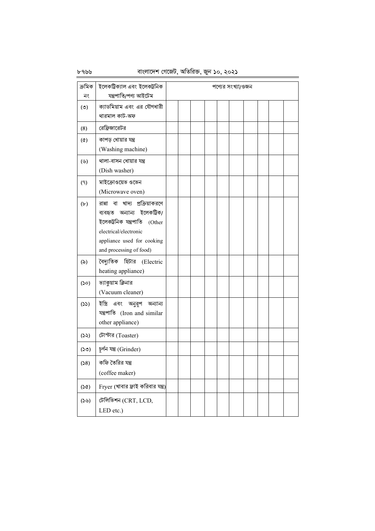৮৭৬৬

## বাংলাদেশ গেজেট, অতিরিক্ত, জুন ১০, ২০২১

| ক্ৰমিক            | ইলেকট্ৰিক্যাল এবং ইলেকট্ৰনিক                |  |  | পণ্যের সংখ্যা/ওজন |  |  |
|-------------------|---------------------------------------------|--|--|-------------------|--|--|
| নং                | যন্ত্ৰপাতি/পণ্য আইটেম                       |  |  |                   |  |  |
| (°)               | ক্যাডমিয়াম এবং এর যৌগধারী<br>থারমাল কাট-অফ |  |  |                   |  |  |
|                   |                                             |  |  |                   |  |  |
| (8)               | রেফ্রিজারেটর                                |  |  |                   |  |  |
| $(\delta)$        | কাপড় ধোয়ার যন্ত্র                         |  |  |                   |  |  |
|                   | (Washing machine)                           |  |  |                   |  |  |
| (                 | থালা-বাসন ধোয়ার যন্ত্র                     |  |  |                   |  |  |
|                   | (Dish washer)                               |  |  |                   |  |  |
| (9)               | মাইক্রোওয়েভ ওভেন                           |  |  |                   |  |  |
|                   | (Microwave oven)                            |  |  |                   |  |  |
| (b)               | রান্না বা খাদ্য প্রক্রিয়াকরণে              |  |  |                   |  |  |
|                   | ব্যবহৃত অন্যান্য ইলেকট্ৰিক/                 |  |  |                   |  |  |
|                   | ইলেকট্ৰনিক যন্ত্ৰপাতি<br>(Other             |  |  |                   |  |  |
|                   | electrical/electronic                       |  |  |                   |  |  |
|                   | appliance used for cooking                  |  |  |                   |  |  |
|                   | and processing of food)                     |  |  |                   |  |  |
| $(\delta)$        | বৈদ্যুতিক হিটার (Electric                   |  |  |                   |  |  |
|                   | heating appliance)                          |  |  |                   |  |  |
| (S <sub>O</sub> ) | ভ্যাকুয়াম ক্লিনার                          |  |  |                   |  |  |
|                   | (Vacuum cleaner)                            |  |  |                   |  |  |
| (55)              | এবং অনুরূপ অন্যান্য<br>ইস্ত্ৰি              |  |  |                   |  |  |
|                   | যন্ত্রপাতি (Iron and similar                |  |  |                   |  |  |
|                   | other appliance)                            |  |  |                   |  |  |
| (55)              | টোস্টার (Toaster)                           |  |  |                   |  |  |
| (50)              | চূৰ্ণন যন্ত্ৰ (Grinder)                     |  |  |                   |  |  |
| (58)              | কফি তৈরির যন্ত্র                            |  |  |                   |  |  |
|                   | (coffee maker)                              |  |  |                   |  |  |
| (50)              | Fryer (খাবার ফ্রাই করিবার যন্ত্র)           |  |  |                   |  |  |
| (55)              | টেলিভিশন (CRT, LCD,                         |  |  |                   |  |  |
|                   | LED etc.)                                   |  |  |                   |  |  |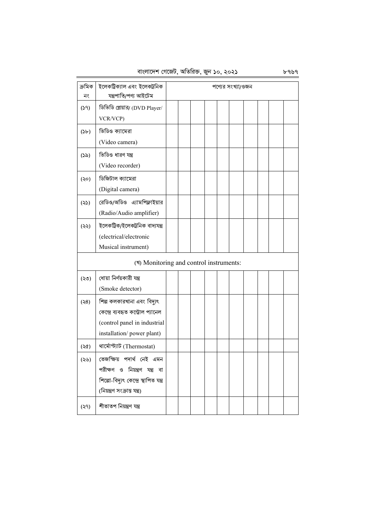বাংলাদেশ গেজেট, অতিরিক্ত, জুন ১০, ২০২১ ৮৭৬৭

| ক্ৰমিক<br>নং  | ইলেকট্ৰিক্যাল এবং ইলেকট্ৰনিক<br>যন্ত্ৰপাতি/পণ্য আইটেম                                                                                 |  |  | পণ্যের সংখ্যা/ওজন |  |  |
|---------------|---------------------------------------------------------------------------------------------------------------------------------------|--|--|-------------------|--|--|
| (59)          | ডিভিডি প্লেয়ার/ (DVD Player/<br>VCR/VCP)                                                                                             |  |  |                   |  |  |
| (Sb)          | ভিডিও ক্যামেরা<br>(Video camera)                                                                                                      |  |  |                   |  |  |
| (55)          | ভিডিও ধারণ যন্ত্র<br>(Video recorder)                                                                                                 |  |  |                   |  |  |
| $(\infty)$    | ডিজিটাল ক্যামেরা<br>(Digital camera)                                                                                                  |  |  |                   |  |  |
| (55)          | রেডিও/অডিও এ্যামপিফ্লাইয়ার<br>(Radio/Audio amplifier)                                                                                |  |  |                   |  |  |
| $(\xi \xi)$   | ইলেকট্ৰিক/ইলেকট্ৰনিক বাদ্যযন্ত্ৰ<br>(electrical/electronic<br>Musical instrument)                                                     |  |  |                   |  |  |
|               | (*) Monitoring and control instruments:                                                                                               |  |  |                   |  |  |
| $($ ৩২)       | ধোয়া নিৰ্ণয়কারী যন্ত্র<br>(Smoke detector)                                                                                          |  |  |                   |  |  |
| (8)           | শিল্প কলকারখানা এবং বিদ্যুৎ<br>কেন্দ্ৰে ব্যবহৃত কন্ট্ৰোল প্যানেল<br>(control panel in industrial<br>installation/power plant)         |  |  |                   |  |  |
| (36)          | থার্মোস্ট্যাট (Thermostat)                                                                                                            |  |  |                   |  |  |
| (২৬)          | তেজক্ষিয় পদাৰ্থ নেই এমন<br>পরীক্ষণ ও নিয়ন্ত্রণ যন্ত্র বা<br>শিল্পো-বিদ্যুৎ কেন্দ্ৰে স্থাপিত যন্ত্ৰ<br>(নিয়ন্ত্ৰণ সংক্ৰান্ত যন্ত্ৰ) |  |  |                   |  |  |
| $($ $\varphi$ | শীতাতপ নিয়ন্ত্ৰণ যন্ত্ৰ                                                                                                              |  |  |                   |  |  |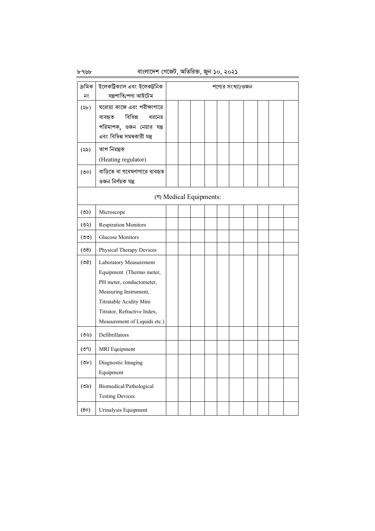## বাংলাদেশ গেজেট, অতিরিক্ত, জুন ১০, ২০২১

| ক্ৰমিক<br>নং  | ইলেকট্ৰিক্যাল এবং ইলেকট্ৰনিক<br>যন্ত্ৰপাতি/পণ্য আইটেম                                                                                                                                             |  |                         |  | পণ্যের সংখ্যা/ওজন |  |  |
|---------------|---------------------------------------------------------------------------------------------------------------------------------------------------------------------------------------------------|--|-------------------------|--|-------------------|--|--|
| $(\forall b)$ | ঘরোয়া কাজে এবং পরীক্ষাগারে<br>বিভিন্ন<br>ধরনের<br>ব্যবহৃত<br>পরিমাপক, ওজন নেয়ার যন্ত্র<br>এবং বিভিন্ন সমন্বকারী যন্ত্র                                                                          |  |                         |  |                   |  |  |
| (২৯)          | তাপ নিয়ন্ত্ৰক<br>(Heating regulator)                                                                                                                                                             |  |                         |  |                   |  |  |
| (50)          | বাড়িতে বা গবেষণাগারে ব্যবহৃত<br>ওজন নিৰ্ণয়ক যন্ত্ৰ                                                                                                                                              |  |                         |  |                   |  |  |
|               |                                                                                                                                                                                                   |  | (গ) Medical Equipments: |  |                   |  |  |
| (55)          | Microscope                                                                                                                                                                                        |  |                         |  |                   |  |  |
| (50)          | <b>Respiration Monitors</b>                                                                                                                                                                       |  |                         |  |                   |  |  |
| (00)          | <b>Glucose Monitors</b>                                                                                                                                                                           |  |                         |  |                   |  |  |
| (98)          | Physical Therapy Devices                                                                                                                                                                          |  |                         |  |                   |  |  |
| (90)          | Laboratory Measurement<br>Equipment (Thermo meter,<br>PH meter, conductometer,<br>Measuring Instrument,<br>Titratable Acidity Mini<br>Titrator, Refractive Index,<br>Measurement of Liquids etc.) |  |                         |  |                   |  |  |
| (55)          | Defibrillators                                                                                                                                                                                    |  |                         |  |                   |  |  |
| (৩৭)          | <b>MRI</b> Equipment                                                                                                                                                                              |  |                         |  |                   |  |  |
| $($ ৩৮)       | Diagnostic Imaging<br>Equipment                                                                                                                                                                   |  |                         |  |                   |  |  |
| $($ ৩৯)       | Biomedical/Pathological<br><b>Testing Devices</b>                                                                                                                                                 |  |                         |  |                   |  |  |
| (80)          | Urinalysis Equipment                                                                                                                                                                              |  |                         |  |                   |  |  |

৮৭৬৮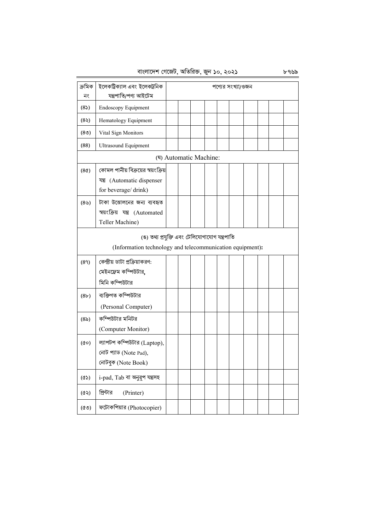বাংলাদেশ গেজেট, অতিরিক্ত, জুন ১০, ২০২১ ৮৭৬৯

| ক্ৰমিক<br>নং      | ইলেকট্ৰিক্যাল এবং ইলেকট্ৰনিক<br>যন্ত্ৰপাতি/পণ্য আইটেম                                                      |  |  |                        |  |  | পণ্যের সংখ্যা/ওজন |  |  |  |
|-------------------|------------------------------------------------------------------------------------------------------------|--|--|------------------------|--|--|-------------------|--|--|--|
| (85)              | Endoscopy Equipment                                                                                        |  |  |                        |  |  |                   |  |  |  |
| (85)              | Hematology Equipment                                                                                       |  |  |                        |  |  |                   |  |  |  |
| (8 <sub>0</sub> ) | Vital Sign Monitors                                                                                        |  |  |                        |  |  |                   |  |  |  |
| (88)              | <b>Ultrasound Equipment</b>                                                                                |  |  |                        |  |  |                   |  |  |  |
|                   |                                                                                                            |  |  | (श) Automatic Machine: |  |  |                   |  |  |  |
| (8 <sub>0</sub> ) | কোমল পানীয় বিক্রয়ের স্বয়ংক্রিয়<br>যন্ত্র (Automatic dispenser<br>for beverage/drink)                   |  |  |                        |  |  |                   |  |  |  |
| (89)              | টাকা উত্তোলনের জন্য ব্যবহৃত<br>স্বয়ংক্রিয় যন্ত্র (Automated<br>Teller Machine)                           |  |  |                        |  |  |                   |  |  |  |
|                   | (ঙ) তথ্য প্রযুক্তি এবং টেলিযোগাযোগ যন্ত্রপাতি<br>(Information technology and telecommunication equipment): |  |  |                        |  |  |                   |  |  |  |
| (89)              | কেন্দ্রীয় ডাটা প্রক্রিয়াকরণ:<br>মেইনফ্রেম কম্পিউটার,<br>মিনি কম্পিউটার                                   |  |  |                        |  |  |                   |  |  |  |
| (8b)              | ব্যক্তিগত কম্পিউটার<br>(Personal Computer)                                                                 |  |  |                        |  |  |                   |  |  |  |
| (85)              | কম্পিউটার মনিটর<br>(Computer Monitor)                                                                      |  |  |                        |  |  |                   |  |  |  |
| $(\infty)$        | ল্যাপটপ কম্পিউটার (Laptop),<br>নোট প্যাড (Note Pad),<br>নোটবুক (Note Book)                                 |  |  |                        |  |  |                   |  |  |  |
| (3)               | i-pad, Tab বা অনুরূপ যন্ত্রসহ                                                                              |  |  |                        |  |  |                   |  |  |  |
| (65)              | প্রিন্টার<br>(Printer)                                                                                     |  |  |                        |  |  |                   |  |  |  |
| (°)               | ফটোকপিয়ার (Photocopier)                                                                                   |  |  |                        |  |  |                   |  |  |  |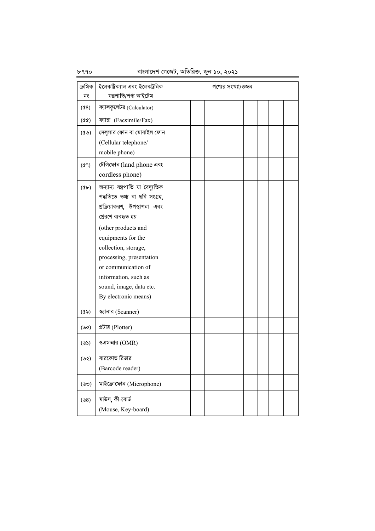|                   | $315.161 + 6.160(0, 910)$ $80.5$ $9(1, 90)$ , $80.5$                                                                                                                                                                                                                                                                       |  |  |                   |  |  |
|-------------------|----------------------------------------------------------------------------------------------------------------------------------------------------------------------------------------------------------------------------------------------------------------------------------------------------------------------------|--|--|-------------------|--|--|
| ক্ৰমিক<br>নং      | ইলেকট্ৰিক্যাল এবং ইলেকট্ৰনিক<br>যন্ত্ৰপাতি/পণ্য আইটেম                                                                                                                                                                                                                                                                      |  |  | পণ্যের সংখ্যা/ওজন |  |  |
| (68)              | ক্যালকুলেটর (Calculator)                                                                                                                                                                                                                                                                                                   |  |  |                   |  |  |
| $(\delta \delta)$ | ফ্যাক্স (Facsimile/Fax)                                                                                                                                                                                                                                                                                                    |  |  |                   |  |  |
| $($ ৫৬)           | সেলুলার ফোন বা মোবাইল ফোন<br>(Cellular telephone/<br>mobile phone)                                                                                                                                                                                                                                                         |  |  |                   |  |  |
| (69)              | টেলিফোন (land phone এবং<br>cordless phone)                                                                                                                                                                                                                                                                                 |  |  |                   |  |  |
| $(\circledast)$   | অন্যান্য যন্ত্রপাতি যা বৈদ্যুতিক<br>পদ্ধতিতে তথ্য বা ছবি সংগ্ৰহ,<br>প্রক্রিয়াকরণ, উপস্থাপনা এবং<br>প্ৰেরণে ব্যবহৃত হয়<br>(other products and<br>equipments for the<br>collection, storage,<br>processing, presentation<br>or communication of<br>information, such as<br>sound, image, data etc.<br>By electronic means) |  |  |                   |  |  |
| $(\delta \delta)$ | স্ক্যানার (Scanner)                                                                                                                                                                                                                                                                                                        |  |  |                   |  |  |
| (৬০)              | প্লটার (Plotter)                                                                                                                                                                                                                                                                                                           |  |  |                   |  |  |
| (৬১)              | ওএমআর (OMR)                                                                                                                                                                                                                                                                                                                |  |  |                   |  |  |
| (৬২)              | বারকোড রিডার<br>(Barcode reader)                                                                                                                                                                                                                                                                                           |  |  |                   |  |  |
| (৬৩)              | মাইক্রোফোন (Microphone)                                                                                                                                                                                                                                                                                                    |  |  |                   |  |  |
| (68)              | মাউস, কী-বোর্ড<br>(Mouse, Key-board)                                                                                                                                                                                                                                                                                       |  |  |                   |  |  |

বাংলাদেশ গেজেট, অতিরিক্ত, জুন ১০, ২০২১

৮৭৭০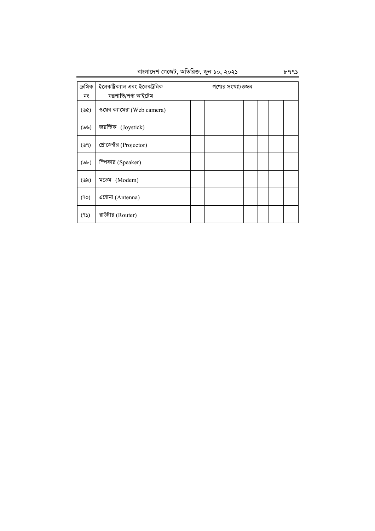| বাংলাদেশ গেজেট, অতিরিক্ত, জুন ১০, ২০২১ |  |  |  |
|----------------------------------------|--|--|--|
|                                        |  |  |  |

| ক্ৰমিক<br>নং                 | ইলেকট্রিক্যাল এবং ইলেকট্রনিক<br>যন্ত্ৰপাতি/পণ্য আইটেম |  |  | পণ্যের সংখ্যা/ওজন |  |  |
|------------------------------|-------------------------------------------------------|--|--|-------------------|--|--|
| $(\mathcal{P}(\mathcal{C}))$ | ওয়েব ক্যামেরা (Web camera)                           |  |  |                   |  |  |
| (৬৬)                         | জয়স্টিক (Joystick)                                   |  |  |                   |  |  |
| (৬৭)                         | প্রোজেক্টর (Projector)                                |  |  |                   |  |  |
| $(\forall b)$                | ম্পিকার (Speaker)                                     |  |  |                   |  |  |
| (৬৯)                         | মডেম (Modem)                                          |  |  |                   |  |  |
| (90)                         | এন্টেনা (Antenna)                                     |  |  |                   |  |  |
| (95)                         | রাউটার (Router)                                       |  |  |                   |  |  |

৳ঀঀ১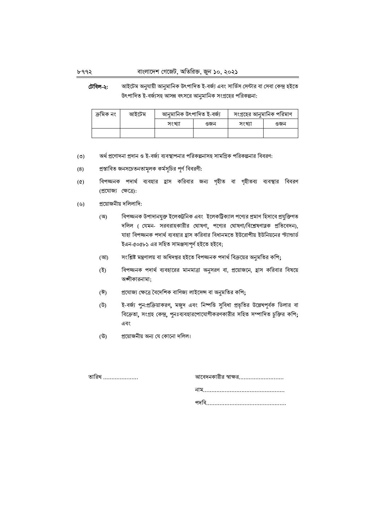#### বাংলাদেশ গেজেট, অতিরিক্ত, জুন ১০, ২০২১

টেবিল-২: আইটেম অনুযায়ী আনুমানিক উৎপাদিত ই-বর্জ্য এবং সার্ভিস সেন্টার বা সেবা কেন্দ্র হইতে উৎপাদিত ই-বর্জ্যসহ আসন্ন বৎসরে আনমানিক সংগ্রহের পরিকল্পনা:

| ক্ৰমিক নং | আইটেম | আনুমানিক উৎপাদিত ই-বৰ্জ্য |     | সংগ্রহের আনুমানিক পরিমাণ |     |  |  |
|-----------|-------|---------------------------|-----|--------------------------|-----|--|--|
|           |       | সংখ্যা                    | ওজন | সংখ্যা                   | ওজন |  |  |
|           |       |                           |     |                          |     |  |  |

- অর্থ প্রণোদনা প্রদান ও ই-বর্জ্য ব্যবস্থাপনার পরিকল্পনাসহ সামগ্রিক পরিকল্পনার বিবরণ:  $(5)$
- প্রস্তাবিত জনসচেতনতামূলক কর্মসূচির পূর্ণ বিবরণী:  $(8)$
- বিপজ্জনক পদার্থ ব্যবহার হ্রাস করিবার জন্য গৃহীত বা গৃহীতব্য ব্যবস্থার বিবরণ  $(\alpha)$ (প্ৰযোজ্য ক্ষেত্ৰে):
- প্রয়োজনীয় দলিলাদি:  $($ ৬)
	- বিপজ্জনক উপাদানযুক্ত ইলেকট্রনিক এবং ইলেকট্রিক্যাল পণ্যের প্রমাণ হিসাবে প্রযুক্তিগত (অ) দলিল ( যেমন- সরবরাহকারীর ঘোষণা, পণ্যের ঘোষণা/বিশ্লেষণাত্নক প্রতিবেদন), যাহা বিপজ্জনক পদার্থ ব্যবহার হ্রাস করিবার বিধানমতে ইউরোপীয় ইউনিয়নের স্ট্যান্ডার্ড ইএন-৫০৫৮১ এর সহিত সামঞ্জস্যপূর্ণ হইতে হইবে;
	- সংশ্লিষ্ট মন্ত্রণালয় বা অধিদপ্তর হইতে বিপজ্জনক পদার্থ বিক্রয়ের অনুমতির কপি; (আ)
	- বিপজ্জনক পদার্থ ব্যবহারের মানমাত্রা অনুসরণ বা, প্রয়োজনে, হ্রাস করিবার বিষয়ে (ই) অজ্ঞীকারনামা;
	- প্রযোজ্য ক্ষেত্রে বৈদেশিক বাণিজ্য লাইসেন্স বা অনুমতির কপি; (ঈ)
	- (উ) ই-বর্জ্য পুন:প্রক্রিয়াকরণ, মজুদ এবং নিষ্পত্তি সুবিধা প্রভৃতির উল্লেখপূর্বক ডিলার বা বিক্রেতা, সংগ্রহ কেন্দ্র, পুনঃব্যবহারপোযোগীকরণকারীর সহিত সম্পাদিত চুক্তির কপি; এবং
	- প্রয়োজনীয় অন্য যে কোনো দলিল। (উ)

তারিখ …………………

| আবেদনকারীর স্বাক্ষর  |
|----------------------|
| নাম…………………………………………… |
| পদবি………………………………………… |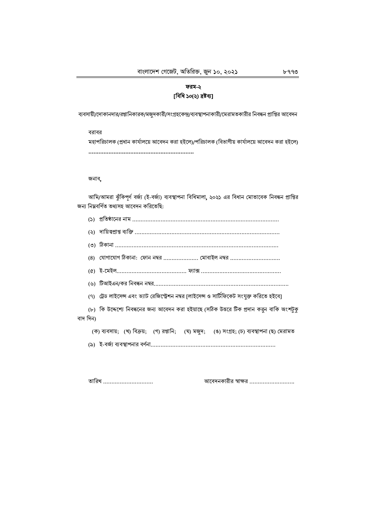## ফরম-২ [বিধি ১০(২) দ্ৰষ্টব্য]

ব্যবসায়ী/দোকানদার/রপ্তানিকারক/মজুদকারী/সংগ্রহকেন্দ্র/ব্যবস্থাপনাকারী/মেরামতকারীর নিবন্ধন প্রাপ্তির আবেদন

বরাবর মহাপরিচালক (প্রধান কার্যালয়ে আবেদন করা হইলে)/পরিচালক (বিভাগীয় কার্যালয়ে আবেদন করা হইলে) 

#### জনাব,

আমি/আমরা ঝুঁকিপূর্ণ বর্জ্য (ই-বর্জ্য) ব্যবস্থাপনা বিধিমালা, ২০২১ এর বিধান মোতাবেক নিবন্ধন প্রাপ্তির জন্য নিম্নবৰ্ণিত তথ্যসহ আবেদন করিতেছি:

|          | (8)   যোগাযোগ ঠিকানা:  ফোন নম্বর  মোবাইল নম্বর                                               |
|----------|----------------------------------------------------------------------------------------------|
|          | (৫) ই-মেইল…………………………………… ফ্যাক্স …………………………………………                                            |
|          | (৬) টিআইএন/কর নিবন্ধন নম্বর…………………………………………………………………                                         |
|          | (৭) ট্রেড লাইসেন্স এবং ভ্যাট রেজিস্ট্রেশন নম্বর [লাইসেন্স ও সার্টিফিকেট সংযুক্ত করিতে হইবে]  |
|          | (৮)  কি উদ্দেশ্যে নিবন্ধনের জন্য আবেদন করা হইয়াছে (সঠিক উত্তরে টিক প্রদান করুন বাকি অংশটুকু |
| বাদ দিন) |                                                                                              |
|          | (ক) ব্যবসায়; (খ) বিক্রয়; (গ) রপ্তানি; (ঘ) মজুদ; (ঙ) সংগ্রহ; (চ) ব্যবস্থাপনা (ছ) মেরামত     |
|          |                                                                                              |
|          |                                                                                              |

তারিখ ..............................

আবেদনকারীর স্বাক্ষর ............................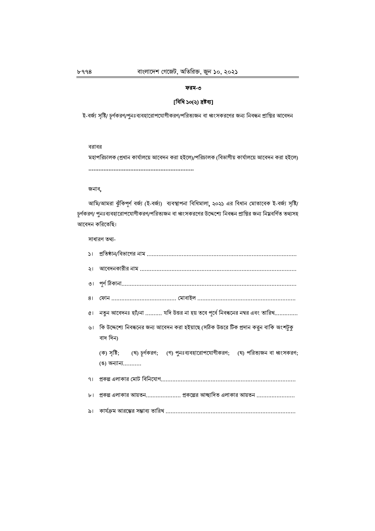## ফরম-৩

## [বিধি ১০(২) দ্ৰষ্টব্য]

ই-বর্জ্য সৃষ্টি/ চূর্ণকরণ/পুনঃব্যবহারোপযোগীকরণ/পরিত্যজন বা ধ্বংসকরণের জন্য নিবন্ধন প্রাপ্তির আবেদন

#### বরাবর

মহাপরিচালক (প্রধান কার্যালয়ে আবেদন করা হইলে)/পরিচালক (বিভাগীয় কার্যালয়ে আবেদন করা হইলে) 

#### জনাব,

আমি/আমরা ঝুঁকিপূর্ণ বর্জ্য (ই-বর্জ্য) ব্যবস্থাপনা বিধিমালা, ২০২১ এর বিধান মোতাবেক ই-বর্জ্য সৃষ্টি/ চূর্ণকরণ/ পুনঃব্যবহারোপযোগীকরণ/পরিত্যজন বা ধ্বংসকরণের উদ্দেশ্যে নিবন্ধন প্রাপ্তির জন্য নিম্নবর্ণিত তথ্যসহ আবেদন করিতেছি।

সাধারণ তথ্য-

| ৫। নতুন আবেদনঃ হাঁ/না  যদি উত্তর না হয় তবে পূর্বে নিবন্ধনের নম্বর এবং তারিখ               |
|--------------------------------------------------------------------------------------------|
| ৬। কি উদ্দেশ্যে নিবন্ধনের জন্য আবেদন করা হইয়াছে (সঠিক উত্তরে টিক প্রদান করুন বাকি অংশটুকু |
| বাদ দিন)                                                                                   |
| (ক) সৃষ্টি; (খ) চূর্ণকরণ; (গ) পুনঃব্যবহারোপযোগীকরণ; (ঘ) পরিত্যজন বা ধ্বংসকরণ;              |
| (ঙ) অন্যান্য……….                                                                           |
| ৭৷ প্রকল্প এলাকার মোট বিনিযোগ………………………………………………………………………………                                |
| $b1$ প্রকল্প এলাকার আয়তন প্রকল্পের আচ্ছাদিত এলাকার আয়তন                                  |
| ৯।    কার্যক্রম আরম্ভের সম্ভাব্য তারিখ ……………………………………………………………………………                       |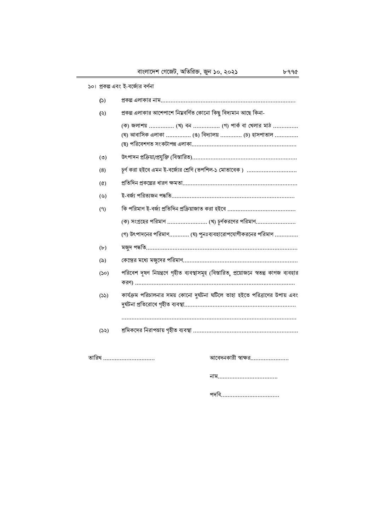|                   | ১০। প্রকল্প এবং ই-বর্জ্যের বর্ণনা                                                                                                      |
|-------------------|----------------------------------------------------------------------------------------------------------------------------------------|
| (5)               |                                                                                                                                        |
| (5)               | প্রকল্প এলাকার আশেপাশে নিম্নবর্ণিত কোনো কিছু বিদ্যমান আছে কিনা-                                                                        |
|                   | (ক) জলাশয়  (খ) বন  (গ) পার্ক বা খেলার মাঠ<br>(ঘ) আবাসিক এলাকা  (ঙ) বিদ্যালয়  (চ) হাসপাতাল                                            |
| (5)               |                                                                                                                                        |
| (8)               | চূর্ণ করা হইবে এমন ই-বর্জ্যের শ্রেণি (তপশিল-১ মোতাবেক )                                                                                |
| $(\delta)$        | প্রতিদিন প্রকল্পের ধারণ ক্ষমতা…………………………………………………………                                                                                   |
| (                 |                                                                                                                                        |
| (9)               |                                                                                                                                        |
|                   |                                                                                                                                        |
|                   | (গ) উৎপাদনের পরিমাণ (ঘ) পুনঃব্যবহারোপযোগীকরনের পরিমাণ                                                                                  |
| (b)               | মজুদ পদ্ধতি………………………………………………………………………………                                                                                              |
| $(\delta)$        | (কন্দ্রের মধ্যে মজুদের পরিমাণ…………………………………………………………                                                                                    |
| (S <sub>O</sub> ) | পরিবেশ দূষণ নিয়ন্ত্রণে গৃহীত ব্যবস্থাসমূহ (বিস্তারিত, প্রয়োজনে স্বতন্ত্র কাগজ ব্যবহার                                                |
| (55)              | কার্যক্রম পরিচালনার সময় কোনো দুর্ঘটনা ঘটিলে তাহা হইতে পরিত্রাণের উপায় এবং<br>দুৰ্ঘটনা প্ৰতিরোধে গৃহীত ব্যবস্থা………………………………………………………… |
|                   |                                                                                                                                        |
| (55)              |                                                                                                                                        |
|                   |                                                                                                                                        |

তারিখ …………………………

আবেদনকারী স্বাক্ষর……………………

পদবি...................................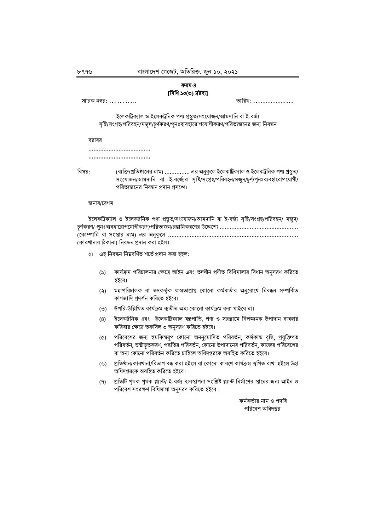### ফরম-৪ [বিধি ১০(৩) দ্রষ্টব্য]

| স্মারক নম্বর: |  |  |  |  |  |  |
|---------------|--|--|--|--|--|--|
|               |  |  |  |  |  |  |

তারিখ: ....................

ইলেকট্রিক্যাল ও ইলেকট্রনিক পণ্য প্রস্তুত/সংযোজন/আমদানি বা ই-বর্জ্য সৃষ্টি/সংগ্রহ/পরিবহন/মজুদ/চূর্ণকরণ/পুনঃব্যবহারোপযোগীকরণ/পরিত্যজনের জন্য নিবন্ধন

বরাবর

...................................

...................................

বিষয়:

(ব্যক্তি/প্রতিষ্ঠানের নাম) ............... এর অনুকূলে ইলেকট্রিক্যাল ও ইলেকট্রনিক পণ্য প্রস্থুত/ সংযোজন/আমদানি বা ই-বর্জ্যের সৃষ্টি/সংগ্রহ/পরিবহন/মজুদ/চূর্ণ/পুনঃব্যবহারোপযোগী/ পরিত্যজনের নিবন্ধন প্রদান প্রসঙ্গে।

#### জনাব/বেগম

| ইলেকট্রিক্যাল ও ইলেকট্রনিক পণ্য প্রস্তুত/সংযোজন/আমদানি বা ই-বর্জ্য সৃষ্টি/সংগ্রহ/পরিবহন/ মজুদ/ |
|------------------------------------------------------------------------------------------------|
|                                                                                                |
|                                                                                                |
| (কারখানার ঠিকানা) নিবন্ধন প্রদান করা হইল।                                                      |

২। এই নিবন্ধন নিম্নবর্ণিত শর্তে প্রদান করা হইল:

- কার্যক্রম পরিচালনার ক্ষেত্রে আইন এবং তদধীন প্রণীত বিধিমালার বিধান অনুসরণ করিতে  $(5)$ হইবে।
- মহাপরিচালক বা তদকর্তৃক ক্ষমতাপ্রাপ্ত কোনো কর্মকর্তার অনুরোধে নিবন্ধন সম্পর্কিত  $(5)$ কাগজাদি প্রদর্শন করিতে হইবে।
- (৩) উপরি-উল্লিখিত কার্যক্রম ব্যতীত অন্য কোনো কার্যক্রম করা যাইবে না।
- ইলেকট্রনিক এবং ইলেকট্রিক্যাল যন্ত্রপাতি, পণ্য ও সরঞ্জামে বিপজ্জনক উপাদান ব্যবহার  $(8)$ করিবার ক্ষেত্রে তফসিল ৩ অনুসরণ করিতে হইবে।
- পরিবেশের জন্য হুমকিস্বরূপ কোনো অননুমোদিত পরিবর্তন, কর্মকান্ড বৃদ্ধি, প্রযুক্তিগত  $\left( \Phi \right)$ পরিবর্তন, ভষ্মীভূতকরণ, পদ্ধতির পরিবর্তন, কোনো উপাদানের পরিবর্তন, কাজের পরিবেশের বা অন্য কোনো পরিবর্তন করিতে চাহিলে অধিদপ্তরকে অবহিত করিতে হইবে।
- (৬) প্ৰতিষ্ঠান/কারখানা/বিভাগ বন্ধ করা হইলে বা কোনো কারণে কার্যক্রম স্থগিত রাখা হইলে উহা অধিদপ্তরকে অবহিত করিতে হইবে।
- প্রতিটি পৃথক পৃথক প্ল্যান্ট/ ই-বর্জ্য ব্যবস্থাপনা সংশ্লিষ্ট প্ল্যান্ট নির্মাণের স্থানের জন্য আইন ও  $(9)$ পরিবেশ সংরক্ষণ বিধিমালা অনুসরণ করিতে হইবে।

কর্মকর্তার নাম ও পদবি পরিবেশ অধিদপ্তর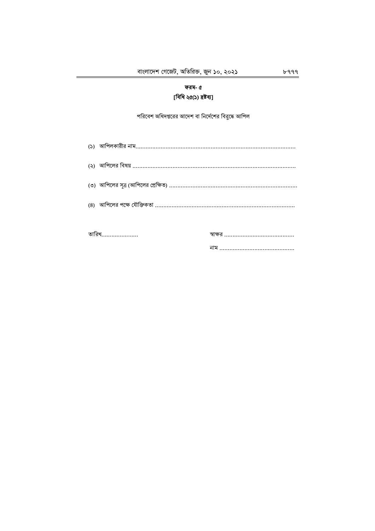# ফরম- ৫ [বিধি ২৫(১) দ্ৰষ্টব্য]

পরিবেশ অধিদপ্তরের আদেশ বা নির্দেশের বিরুদ্ধে আপিল

| (৪)   আপিলের পক্ষে যৌক্তিকতা …………………………………………………………………………………… |  |
|---------------------------------------------------------------|--|
|                                                               |  |
| তারিখ…………………                                                  |  |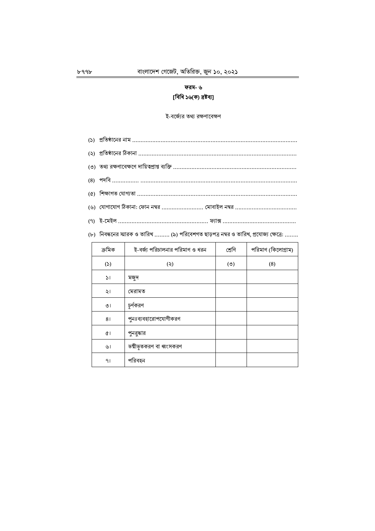# ফরম- ৬ [বিধি ১৬(ক) দ্ৰষ্টব্য]

ই-বর্জ্যের তথ্য রক্ষণাবেক্ষণ

|        | (৮)   নিবন্ধনের স্মারক ও তারিখ  (৯) পরিবেশগত ছাড়পত্র নম্বর ও তারিখ, প্রযোজ্য ক্ষেত্রে: |        |                    |  |  |  |  |
|--------|-----------------------------------------------------------------------------------------|--------|--------------------|--|--|--|--|
| ক্ৰমিক | ই-বর্জ্য পরিচালনার পরিমাণ ও ধরন                                                         | শ্ৰেণি | পরিমাণ (কিলোগ্রাম) |  |  |  |  |
|        |                                                                                         |        |                    |  |  |  |  |

| ক্ৰমিক        | ই-বর্জ্য পরিচালনার পরিমাণ ও ধরন | শ্ৰেণি | পরিমাণ (কিলোগ্রাম) |
|---------------|---------------------------------|--------|--------------------|
| (5)           | (5)                             | (5)    | (8)                |
| $\mathcal{L}$ | মজুদ                            |        |                    |
| ২।            | মেরামত                          |        |                    |
| ৩।            | চূর্ণকরণ                        |        |                    |
| 81            | পুনঃব্যবহারোপযোগীকরণ            |        |                    |
| ¢۱            | পুনরুদ্ধার                      |        |                    |
| ৬।            | ভষ্মীভূতকরণ বা ধ্বংসকরণ         |        |                    |
| 91            | পরিবহন                          |        |                    |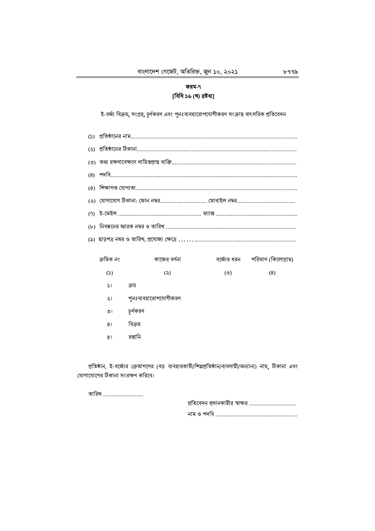## ফরম-৭ [বিধি ১৬ (খ) দ্ৰষ্টব্য]

ই-বর্জ্য বিক্রয়, সংগ্রহ, চূর্ণকরণ এবং পুনঃব্যবহারোপযোগীকরণ সংক্রান্ত বাৎসরিক প্রতিবেদন

| $\alpha$ |              |                                                                     |     |                                 |  |  |  |  |
|----------|--------------|---------------------------------------------------------------------|-----|---------------------------------|--|--|--|--|
|          |              | (৬)   যোগাযোগ ঠিকানা: ফোন নম্বর…………………………… মোবাইল নম্বর……………………………… |     |                                 |  |  |  |  |
|          |              |                                                                     |     |                                 |  |  |  |  |
|          |              |                                                                     |     |                                 |  |  |  |  |
|          |              |                                                                     |     |                                 |  |  |  |  |
|          | ক্ৰমিক নং    | কাজের বর্ণনা                                                        |     | বর্জ্যের ধরন পরিমাণ (কিলোগ্রাম) |  |  |  |  |
|          | (5)          | (5)                                                                 | (5) | (8)                             |  |  |  |  |
|          | $\mathbf{M}$ | ক্রয়                                                               |     |                                 |  |  |  |  |
|          | ২।           | পুনঃব্যবহারোপযোগীকরণ                                                |     |                                 |  |  |  |  |
|          | ৩।           | চূর্ণকরণ                                                            |     |                                 |  |  |  |  |
|          | 81           | বিক্ৰয়                                                             |     |                                 |  |  |  |  |

৫। রপ্তানি

প্রতিষ্ঠান, ই-বর্জ্যের ক্রেতাগণের (বড় ব্যবহারকারী/শিল্পপ্রতিষ্ঠান/ব্যবসায়ী/অন্যান্য) নাম, ঠিকানা এবং যোগাযোগের ঠিকানা সংরক্ষণ করিবে।

তারিখ ........................

| প্রতিবেদন প্রদানকারীর স্বাক্ষর |
|--------------------------------|
|                                |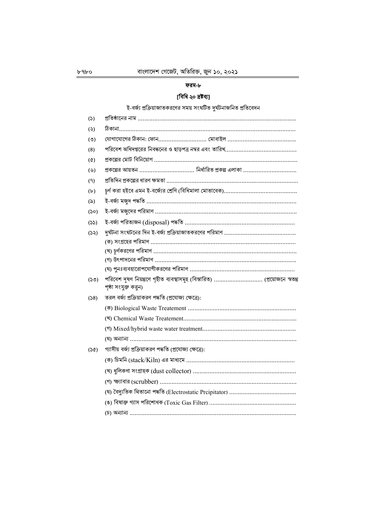## ফরম-৮

# [বিধি ২০ দ্ৰষ্টব্য]

ই-বর্জ্য প্রক্রিয়াজাতকরণের সময় সংঘটিত দুর্ঘটনাজনিত প্রতিবেদন

| ঠিকানা…………………………………………………………………………………………<br>প্রকল্পের আয়তন  নির্ধারিত প্রকল্প এলাকা |
|--------------------------------------------------------------------------------------|
|                                                                                      |
|                                                                                      |
|                                                                                      |
|                                                                                      |
|                                                                                      |
|                                                                                      |
|                                                                                      |
|                                                                                      |
|                                                                                      |
|                                                                                      |
|                                                                                      |
|                                                                                      |
|                                                                                      |
|                                                                                      |
|                                                                                      |
| পরিবেশ দূষণ নিয়ন্ত্রণে গৃহীত ব্যবস্থাসমূহ (বিস্তারিত)  (প্রয়োজনে স্বতন্ত্র         |
|                                                                                      |
|                                                                                      |
|                                                                                      |
|                                                                                      |
|                                                                                      |
|                                                                                      |
|                                                                                      |
|                                                                                      |
|                                                                                      |
|                                                                                      |
|                                                                                      |
|                                                                                      |
|                                                                                      |